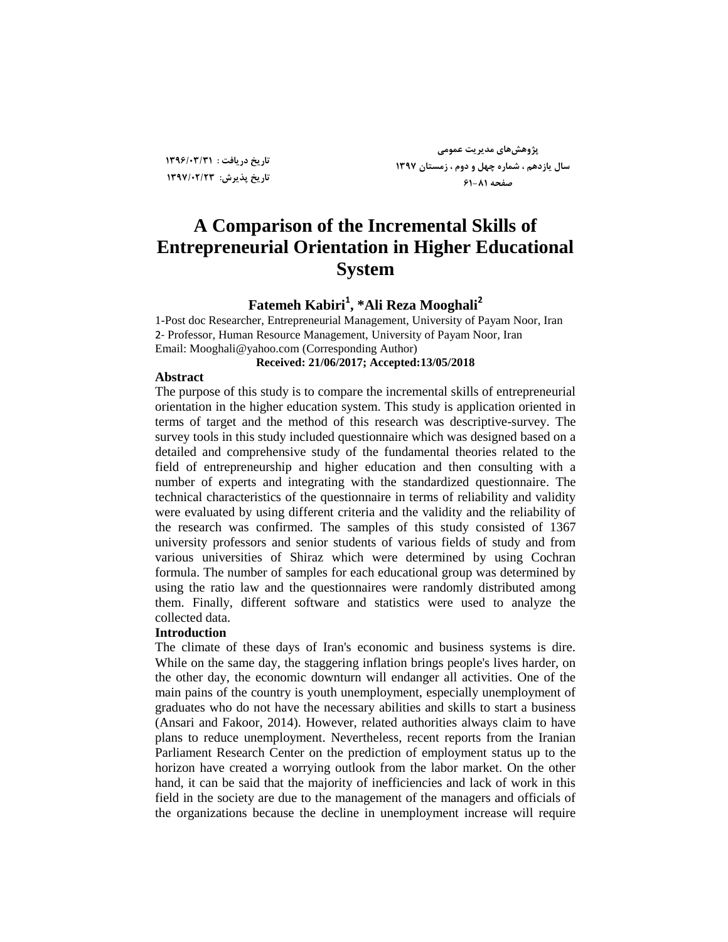**تبریخ دریبفت : 1396/03/31 تبریخ پذیزػ: 1397/02/23**

**پضٍّؼّبی هذیزیت ػوَهی عبل یبسدّن ، ؽوبرُ چْل ٍ دٍم ، سهغتبى 1397 صفحِ 61-81**

## **A Comparison of the Incremental Skills of Entrepreneurial Orientation in Higher Educational System**

### **Fatemeh Kabiri<sup>1</sup> , \*Ali Reza Mooghali<sup>2</sup>**

1-Post doc Researcher, Entrepreneurial Management, University of Payam Noor, Iran 2- Professor, Human Resource Management, University of Payam Noor, Iran Email: [Mooghali@yahoo.com](mailto:Mooghali@yahoo.com) (Corresponding Author)

### **Received: 21/06/2017; Accepted:13/05/2018**

#### **Abstract**

The purpose of this study is to compare the incremental skills of entrepreneurial orientation in the higher education system. This study is application oriented in terms of target and the method of this research was descriptive-survey. The survey tools in this study included questionnaire which was designed based on a detailed and comprehensive study of the fundamental theories related to the field of entrepreneurship and higher education and then consulting with a number of experts and integrating with the standardized questionnaire. The technical characteristics of the questionnaire in terms of reliability and validity were evaluated by using different criteria and the validity and the reliability of the research was confirmed. The samples of this study consisted of 1367 university professors and senior students of various fields of study and from various universities of Shiraz which were determined by using Cochran formula. The number of samples for each educational group was determined by using the ratio law and the questionnaires were randomly distributed among them. Finally, different software and statistics were used to analyze the collected data.

### **Introduction**

The climate of these days of Iran's economic and business systems is dire. While on the same day, the staggering inflation brings people's lives harder, on the other day, the economic downturn will endanger all activities. One of the main pains of the country is youth unemployment, especially unemployment of graduates who do not have the necessary abilities and skills to start a business (Ansari and Fakoor, 2014). However, related authorities always claim to have plans to reduce unemployment. Nevertheless, recent reports from the Iranian Parliament Research Center on the prediction of employment status up to the horizon have created a worrying outlook from the labor market. On the other hand, it can be said that the majority of inefficiencies and lack of work in this field in the society are due to the management of the managers and officials of the organizations because the decline in unemployment increase will require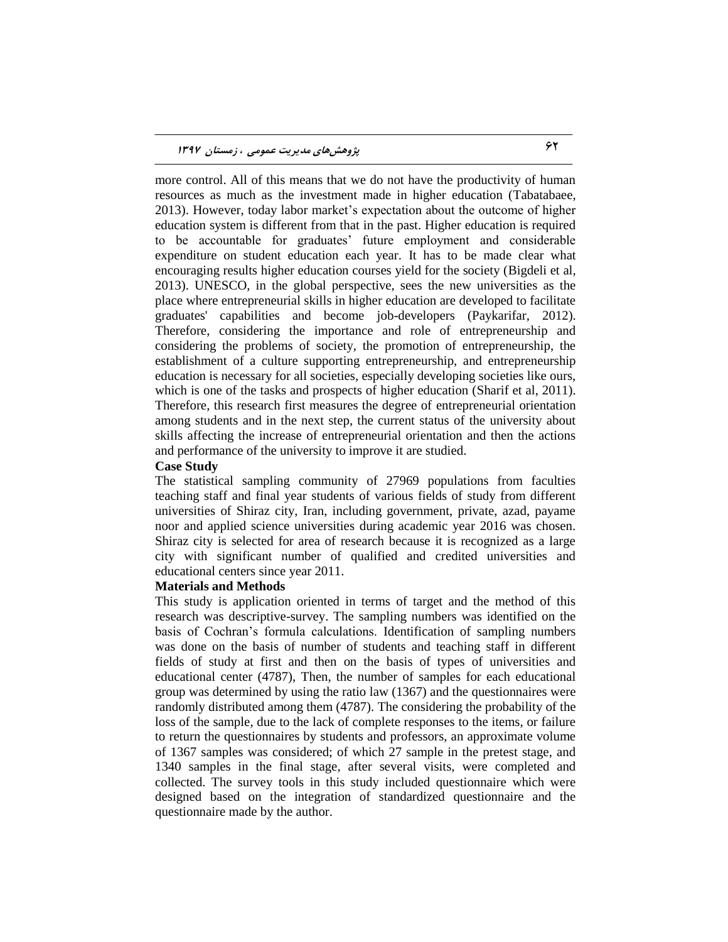more control. All of this means that we do not have the productivity of human resources as much as the investment made in higher education (Tabatabaee, 2013). However, today labor market's expectation about the outcome of higher education system is different from that in the past. Higher education is required to be accountable for graduates' future employment and considerable expenditure on student education each year. It has to be made clear what encouraging results higher education courses yield for the society (Bigdeli et al, 2013). UNESCO, in the global perspective, sees the new universities as the place where entrepreneurial skills in higher education are developed to facilitate graduates' capabilities and become job-developers (Paykarifar, 2012). Therefore, considering the importance and role of entrepreneurship and considering the problems of society, the promotion of entrepreneurship, the establishment of a culture supporting entrepreneurship, and entrepreneurship education is necessary for all societies, especially developing societies like ours, which is one of the tasks and prospects of higher education (Sharif et al, 2011). Therefore, this research first measures the degree of entrepreneurial orientation among students and in the next step, the current status of the university about skills affecting the increase of entrepreneurial orientation and then the actions and performance of the university to improve it are studied.

### **Case Study**

The statistical sampling community of 27969 populations from faculties teaching staff and final year students of various fields of study from different universities of Shiraz city, Iran, including government, private, azad, payame noor and applied science universities during academic year 2016 was chosen. Shiraz city is selected for area of research because it is recognized as a large city with significant number of qualified and credited universities and educational centers since year 2011.

### **Materials and Methods**

This study is application oriented in terms of target and the method of this research was descriptive-survey. The sampling numbers was identified on the basis of Cochran's formula calculations. Identification of sampling numbers was done on the basis of number of students and teaching staff in different fields of study at first and then on the basis of types of universities and educational center (4787), Then, the number of samples for each educational group was determined by using the ratio law (1367) and the questionnaires were randomly distributed among them (4787). The considering the probability of the loss of the sample, due to the lack of complete responses to the items, or failure to return the questionnaires by students and professors, an approximate volume of 1367 samples was considered; of which 27 sample in the pretest stage, and 1340 samples in the final stage, after several visits, were completed and collected. The survey tools in this study included questionnaire which were designed based on the integration of standardized questionnaire and the questionnaire made by the author.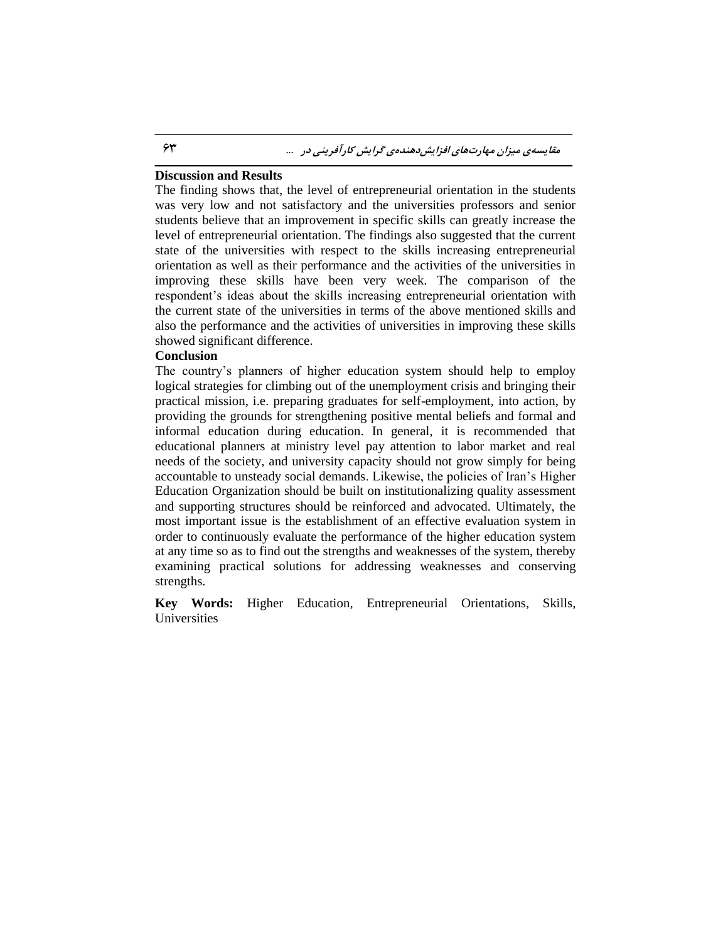### **Discussion and Results**

The finding shows that, the level of entrepreneurial orientation in the students was very low and not satisfactory and the universities professors and senior students believe that an improvement in specific skills can greatly increase the level of entrepreneurial orientation. The findings also suggested that the current state of the universities with respect to the skills increasing entrepreneurial orientation as well as their performance and the activities of the universities in improving these skills have been very week. The comparison of the respondent's ideas about the skills increasing entrepreneurial orientation with the current state of the universities in terms of the above mentioned skills and also the performance and the activities of universities in improving these skills showed significant difference.

### **Conclusion**

The country's planners of higher education system should help to employ logical strategies for climbing out of the unemployment crisis and bringing their practical mission, i.e. preparing graduates for self-employment, into action, by providing the grounds for strengthening positive mental beliefs and formal and informal education during education. In general, it is recommended that educational planners at ministry level pay attention to labor market and real needs of the society, and university capacity should not grow simply for being accountable to unsteady social demands. Likewise, the policies of Iran's Higher Education Organization should be built on institutionalizing quality assessment and supporting structures should be reinforced and advocated. Ultimately, the most important issue is the establishment of an effective evaluation system in order to continuously evaluate the performance of the higher education system at any time so as to find out the strengths and weaknesses of the system, thereby examining practical solutions for addressing weaknesses and conserving strengths.

**Key Words:** Higher Education, Entrepreneurial Orientations, Skills, **Universities**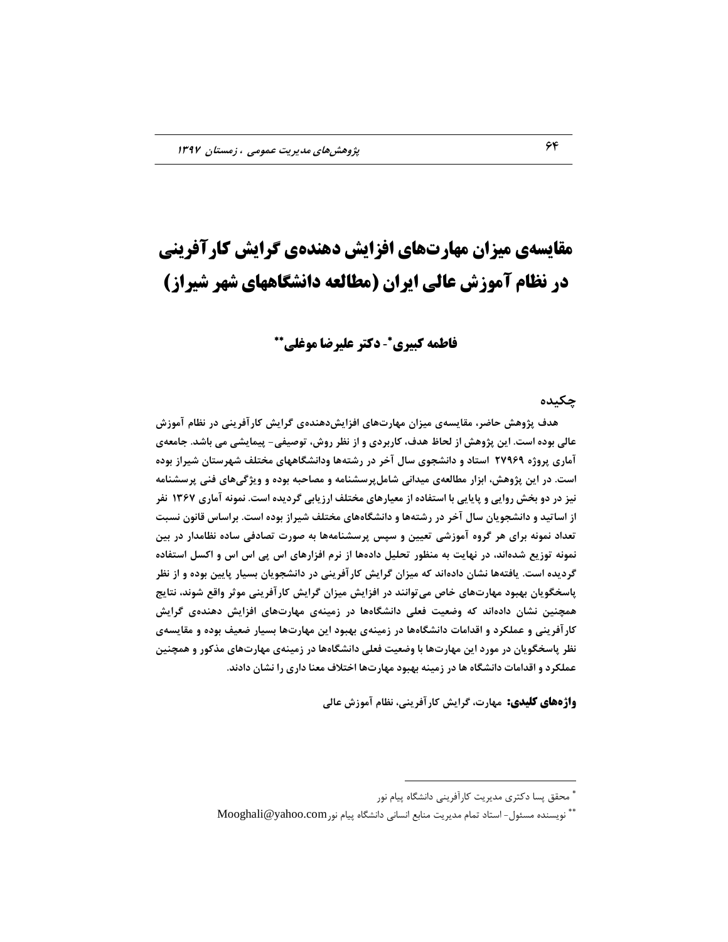# **مقایسهی میسان مهارتهای افسایص دهندهی گرایص کارآفرینی در نظام آموزش عالی ایران )مطالعه دانطگاههای ضهر ضیراز(**

### - **دکتر علیرضا موغلی فاطمه کبیری**

**چىیذُ**

هدف پژوهش حاضر، مقایسهی میزان مهارتهای افزایشدهندهی گرایش کارآفرینی در نظام آموزش عالی بوده است. این پژوهش از لحاظ هدف، کاربردی و از نظر روش، توصیفی- پیمایشی می باشد. جامعهی **آهبری پزٍصُ 27969 اعتبد ٍ داًؾجَی عبل آخز در رؽتِّب ٍداًؾگبّْبی هختلف ؽْزعتبى ؽیزاس ثَدُ**  است. در این پژوهش، ابزار مطالعهی میدانیِ شامل ِرسشنامه و مصاحبِه بوده و ویژگیِهای فنی پرسشنامه **ًیش در دٍ ثخؼ رٍایی ٍ پبیبیی ثب اعتفبدُ اس هؼیبرّبی هختلف ارسیبثی گزدیذُ اعت. ًوًَِ آهبری 1367 ًفز**  از اساتید و دانشجویان سال آخر در رشتهها و دانشگاههای مختلف شیراز بوده است. براساس قانون نسبت تعداد نمونه برای هر گروه آموزشی تعیین و سپس پرسشنامهها به صورت تصادفی ساده نظامدار در بین نمونه توزیع شدهاند، در نهایت به منظور تحلیل دادهها از نرم افزارهای اس پی اس اس و اکسل استفاده گردیده است. یافتهها نشان دادهاند که میزان گرایش کارآفرینی در دانشجویان بسیار پایین بوده و از نظر پاسخگویان بهبود مهارت**های خاص می توانند در افزایش میزان گرایش** کارآفرینی موثر واقع شوند، نتایج همچنین نشان دادهاند که وضعیت فعلی دانشگاهها در زمینهی مهارتهای افزایش دهندهی گرایش کارآفرینی و عملکرد و اقدامات دانشگاهها در زمینهی بهبود این مهارتها بسیار ضعیف بوده و مقایسهی نظر پاسخگویان در مورد این مهارتها با وضعیت فعلی دانشگاهها در زمینهی مهارتهای مذکور و همچنین عملکرد و اقدامات دانشگاه ها در زمینه بهبود مهارتها اختلاف معنا داری را نشان دادند.

**واژههای کلیدی:** مهارت، گرایش کارآفرینی، نظام آموزش عالی

 $\overline{a}$ 

<sup>\*</sup> محقق پسا دکتری مدیریت کارآفرینی دانشگاه پیام نور

 $\rm{Moghali@yahoo.com}$ ییام نور Mooghali@yahoo.com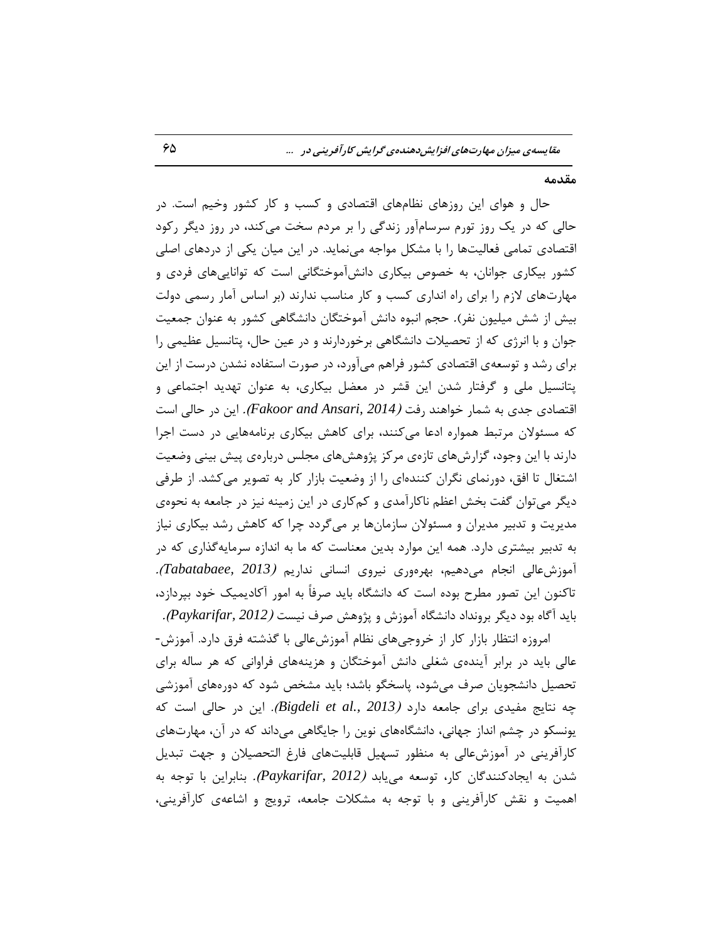### **همذهِ**

حال و هوای این روزهای نظامهای اقتصادی و کسب و کار کشور وخیم است. در حالی که در یک روز تورم سرسامآور زندگی را بر مردم سخت میکند، در روز دیگر رکود اقتصادی تمامی فعالیتّها را با مشكل مواجه می نماید. در این میان یكی از دردهای اصلی كشور بیكاری جوانان، به خصوص بیكاری دانشآموختگانی است كه تواناییهای فردی و مهارتهای لازم را برای راه انداری کسب و کار مناسب ندارند (بر اساس آمار رسمی دولت بیش از شش میلیون نفر). حجم انبوه دانش آموختگان دانشگاهی کشور به عنوان جمعیت جوان و با انرژی که از تحصیلات دانشگاهی برخوردارند و در عین حال، پتانسیل عظیمی را برای رشد و توسعهی اقتصادی كشور فراهم میآورد، در صورت استفاده نشدن درست از این پتانسیل ملی و گرفتار شدن این قشر در معضل بیكاری، به عنوان تهدید اجتماعی و اقتصادی جِدی بِه شمار خواهند <sub>ر</sub>فت *(Fakoor and Ansari, 2014).* این در حالی است که مسئولان مرتبط همواره ادعا میکنند، برای کاهش بیکاری برنامههایی در دست اجرا دارند با این وجود، گزارشهای تازهی مرکز پژوهشهای مجلس دربارهی پیش بینی وضعیت اشتغال تا افق، دورنمای نگران کنندهای را از وضعیت بازار کار به تصویر می کشد. از طرفی دیگر میتوان گفت بخش اعظم ناکارآمدی و کمکاری در این زمینه نیز در جامعه به نحوهی مدیریت و تدبیر مدیران و مسئولان سازمانها بر میگردد چرا که کاهش رشد بیکاری نیاز به تدبیر بیشتری دارد. همه این موارد بدین معناست كه ما به اندازه سرمایهگذاری كه در آموزشعالی انجام می $c$ هیم، بهرهوری نیروی انسانی نداریم *(Tabatabaee, 2013).* تاکنون این تصور مطرح بوده است که دانشگاه باید صرفاً به امور آکادیمیک خود بپردازد، ثبیس آگبُ ثَز زیگط ثطًٍساز زاًكگبُ آهَظـ ٍ پػٍّف نطف ًیؿت )*2012 ,Paykarifar*).

امروزه انتظار بازار کار از خروجیهای نظام آموزشعالی با گذشته فرق دارد. آموزش-عالی باید در برابر آیندهی شغلی دانش آموختگان و هزینههای فراوانی که هر ساله برای تحصیل دانشجویان صرف میشود، پاسخگو باشد؛ باید مشخص شود که دورههای آموزشی چِه نتايج مفيدي براي جامعه دارد *(Bigdeli et al., 2013).* اين در حالي است كه یونسکو در چشم انداز جهانی، دانشگاههای نوین را جایگاهی میداند که در آن، مهارتهای كارآفرینی در آموزشءالی به منظور تسهیل قابلیتهای فارغ التحصیلان و جهت تبدیل شدن به ایجادکنندگان کار، توسعه می<sub>ی</sub>ابد *(Paykarifar, 2012).* بنابراین با توجه به اهمیت و نقش کارآفرینی و با توجه به مشکلات جامعه، ترویج و اشاعهی کارآفرینی،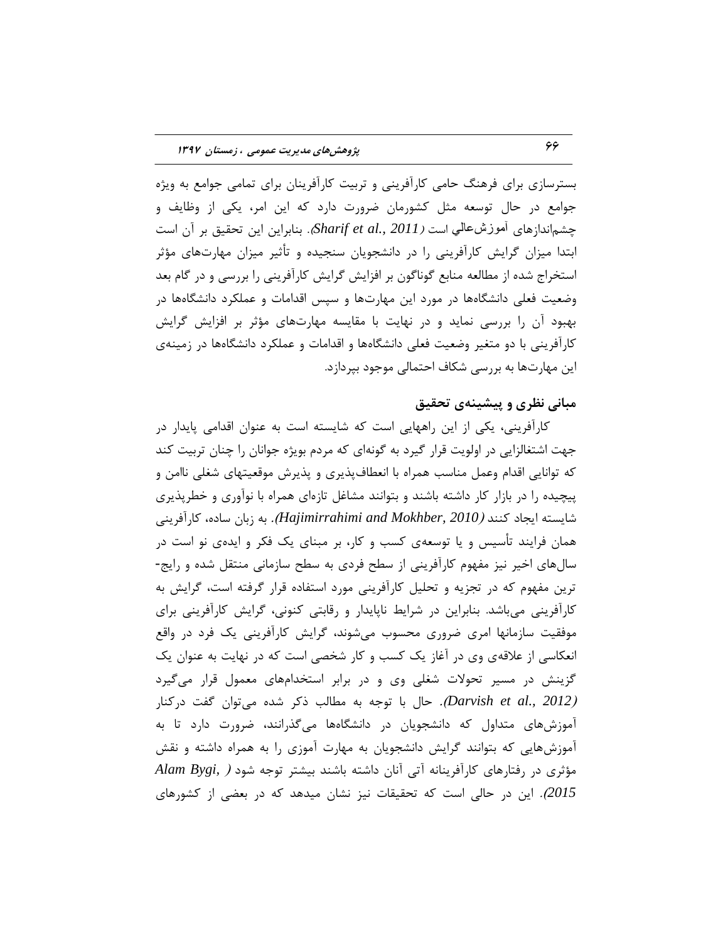بسترسازی برای فرهنگ حامی کارآفرینی و تربیت کارآفرینان برای تمامی جوامع به ویژه جوامع در حال توسعه مثل كشورمان ضرورت دارد كه این امر، یكی از وظایف و چشماندازهای آموزشعالی است *(2011 ,Sharif et al., 20*). بنابراین این تحقیق بر آن است ابتدا میزان گرایش کارآفرینی را در دانشجویان سنجیده و تأثیر میزان مهارتهای مؤثر استخراج شده از مطالعه منابع گوناگون بر افزایش گرایش کارآفرینی را بررسی و در گام بعد وضعیت فعلی دانشگاهها در مورد این مهارتها و سپس اقدامات و عملکرد دانشگاهها در بهبود آن را بررسی نماید و در نهایت با مقایسه مهارتهای مؤثر بر افزایش گرایش کارآفرینی با دو متغیر وضعیت فعلی دانشگاهها و اقدامات و عملکرد دانشگاهها در زمینهی این مهارتها به بررسی شکاف احتمالی موجود بپردازد.

### **هجبًی ًظزی ٍ پیؾیٌِی تحمیك**

کارافرینی، یکی از این راههایی است که شایسته است به عنوان اقدامی پایدار در جهت اشتغالزایی در اولویت قرار گیرد به گونهای که مردم بویژه جوانان را چنان تربیت کند که توانایی اقدام وعمل مناسب همراه با انعطافپذیری و پذیرش موقعیتهای شغلی ناامن و پیچیده را در بازار کار داشته باشند و بتوانند مشاغل تازهای همراه با نوآوری و خطرپذیری شایسته ایجاد کنند *(Hajimirrahimi and Mokhber, 2010).* به زبان ساده، کارآفرینی همان فرایند تأسیس و یا توسعهی کسب و کار، بر مبنای یک فکر و ایدهی نو است در سالهای اخیر نیز مفهوم کارآفرینی از سطح فردی به سطح سازمانی منتقل شده و رایج-ترین مفهوم که در تجزیه و تحلیل کارآفرینی مورد استفاده قرار گرفته است، گرایش به کارآفرینی میباشد. بنابراین در شرایط ناپایدار و رقابتی کنونی، گرایش کارآفرینی برای موفقیت سازمانها امری ضروری محسوب میشوند، گرایش کارآفرینی یک فرد در واقع انعکاسی از علاقهی وی در آغاز یک کسب و کار شخصی است که در نهایت به عنوان یک گزینش در مسیر تحولات شغلی وی و در برابر استخدامهای معمول قرار میگیرد )*2012 .,al et Darvish*). حبل ثب تَرِ ثِ هغبلت شوط قسُ هیتَاى گفت زضوٌبض آموزشهای متداول که دانشجویان در دانشگاهها میگذرانند، ضرورت دارد تا به آموزشهایی که بتوانند گرایش دانشجویان به مهارت آموزی را به همراه داشته و نقش هؤثری در رفتارهای کارآفرینانه آتی آنان داشته باشند بیشتر توجه شود *( ,Alam Bygi 2015*(. ایي زض حبلی اؾت وِ تحمیمبت ًیع ًكبى هیسّس وِ زض ثقضی اظ وكَضّبی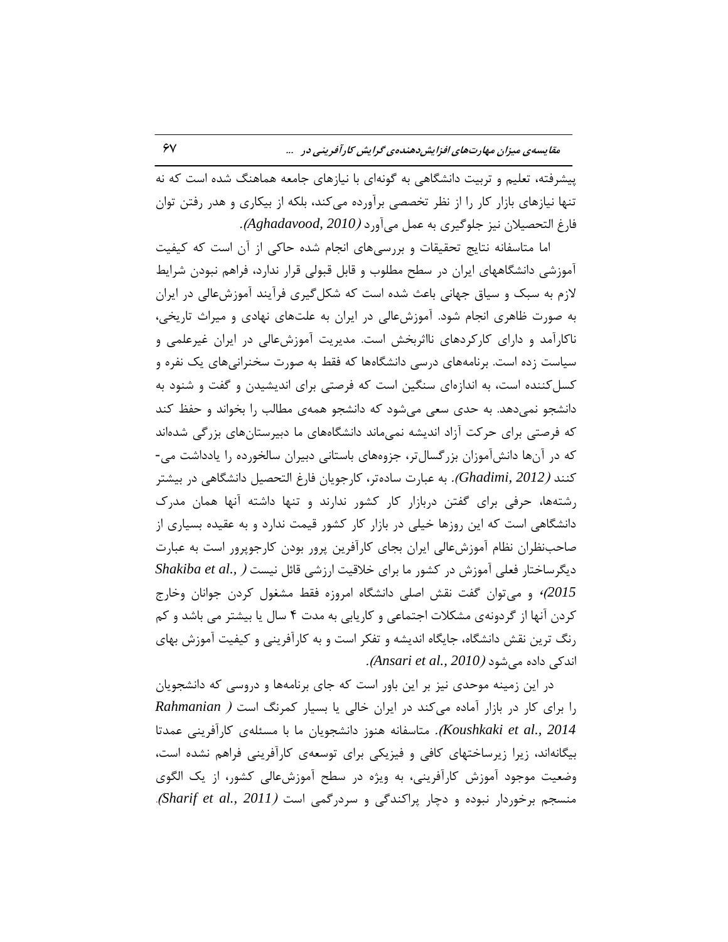پیشرفته، تعلیم و تربیت دانشگاهی به گونهای با نیازهای جامعه هماهنگ شده است که نه تنها نیازهای بازار کار را از نظر تخصصی برآورده میکند، بلکه از بیکاری و هدر رفتن توان فبضك التحهیالى ًیع رلَگیطی ثِ فول هیآٍضز )*2010 ,Aghadavood*).

اما متاسفانه نتایج تحقیقات و بررسی های انجام شده حاکی از آن است که کیفیت آموزشی دانشگاههای ایران در سطح مطلوب و قابل قبولی قرار ندارد، فراهم نبودن شرایط لازم به سبک و سیاق جهانی باعث شده است که شکل گیری فرآیند آموزشءالی در ایران به صورت ظاهری انجام شود. آموزش عالی در ایران به علتهای نهادی و میراث تاریخی، ناکارآمد و دارای کارکردهای نااثربخش است. مدیریت آموزشءالی در ایران غیرعلمی و سیاست زده است. برنامههای درسی دانشگاهها که فقط به صورت سخنرانیهای یک نفره و كسل كننده است، به اندازهای سنگین است كه فرصتی برای اندیشیدن و گفت و شنود به دانشجو نمی دهد. به حدی سعی می شود که دانشجو همهی مطالب را بخواند و حفظ کند كه فرصتی برای حركت آزاد اندیشه نمیماند دانشگاههای ما دبیرستانهای بزرگی شدهاند که در آنها دانشآموزان بزرگسالتر، جزوههای باستانی دبیران سالخورده را یادداشت می-كنند *(Ghadimi, 2012).* به عبارت سادهتر، كارجويان فارغ التحصيل دانشگاهی در بيشتر رشتهِها، حرفی برای گفتن دربازار کار کشور ندارند و تنها داشته آنها همان مدرک دانشگاهی است که این روزها خیلی در بازار کار کشور قیمت ندارد و به عقیده بسیاری از صاحب نظران نظام آموزش عالى ایران بجاى كارآفرين پرور بودن كارجوپرور است به عبارت دیگرساختار فعلی آموزش در كشور ما برای خلاقیت ارزشی قائل نیست *( ,Shakiba et al* 2015)<sup>،</sup> و میتوان گفت نقش اصلی دانشگاه امروزه فقط مشغول کردن جوانان وخارج کردن آنها از گردونهی مشکلات اجتماعی و کاریابی به مدت ۴ سال یا بیشتر می باشد و کم رنگ ترین نقش دانشگاه، جایگاه اندیشه و تفكر است و به كارآفرینی و كیفیت آموزش بهای اًسوی زازُ هیقَز )*2010 .,al et Ansari*).

در این زمینه موحدی نیز بر این باور است که جای برنامهها و دروسی که دانشجویان ضا ثطای وبض زض ثبظاض آهبزُ هیوٌس زض ایطاى ذبلی یب ثؿیبض ووطًگ اؾت ) *Rahmanian Koushkaki et al., 2014).* متاسفانه هنوز دانشجویان ما با مسئلهی کارآفرینی عمدتا بیگانهاند، زیرا زیرساختهای کافی و فیزیکی برای توسعهی کارآفرینی فراهم نشده است، وضعیت موجود آموزش کارآفرینی، به ویژه در سطح آموزشعالی کشور، از یک الگوی هنسجم برخوردار نبوده و دچار پراکندگی و سردرگمی است *(Sharif et al., 2011).*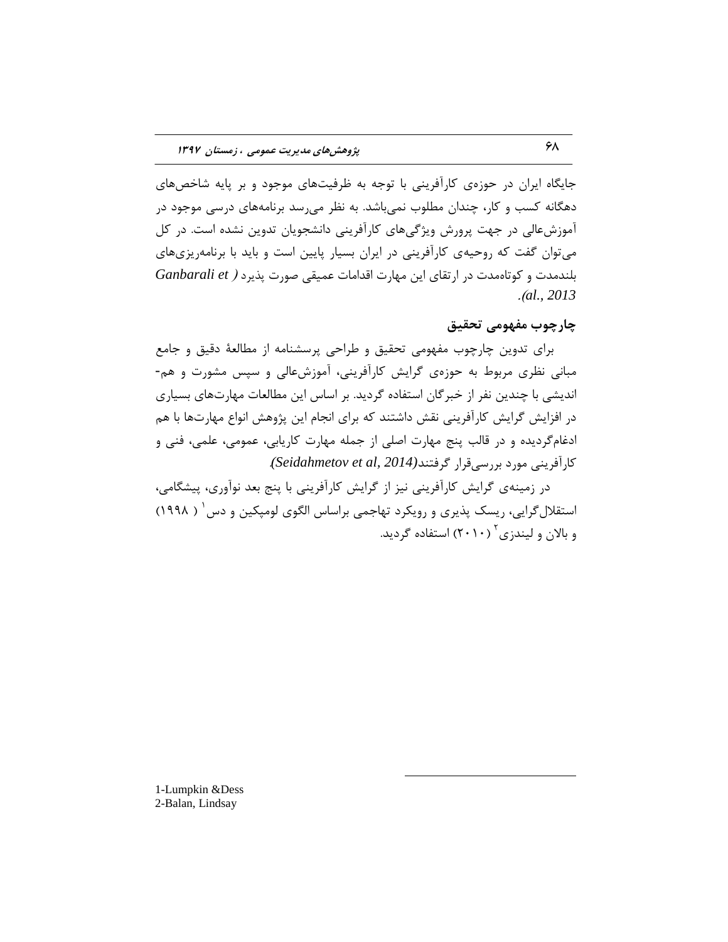جایگاه ایران در حوزهی کارآفرینی با توجه به ظرفیتهای موجود و بر پایه شاخصهای دهگانه کسب و کار، چندان مطلوب نمیباشد. به نظر میرسد برنامههای درسی موجود در آموزشءالی در جهت پرورش ویژگیهای كارآفرینی دانشجویان تدوین نشده است. در كل می توان گفت که روحیهی کارآفرینی در ایران بسیار پایین است و باید با برنامه پزیهای ثلٌسهست ٍ وَتبُهست زض اضتمبی ایي هْبضت الساهبت فویمی نَضت پصیطز ) *et Ganbarali* .)*al., 2013*

### **چبرچَة هفَْهی تحمیك**

برای تدوین چارچوب مفهومی تحقیق و طراحی پرسشنامه از مطالعهٔ دقیق و جامع مبانی نظری مربوط به حوزهی گرایش کارآفرینی، آموزشعالی و سپس مشورت و هم-اندیشی با چندین نفر از خبرگان استفاده گردید. بر اساس این مطالعات مهارتهای بسیاری در افزایش گرایش کارآفرینی نقش داشتند که برای انجام این پژوهش انواع مهارتها با هم ادغامگردیده و در قالب پنج مهارت اصلی از جمله مهارت کاریابی، عمومی، علمی، فنی و کارآفرینی مورد بررسیقرار گرفتند(201*4 Seidahmetov et al,* 

در زمینهی گرایش کارآفرینی نیز از گرایش کارآفرینی با پنج بعد نوآوری، پیشگامی، استقلال گرایی، ریسک پذیری و رویکرد تهاجمی براساس الگوی لومپکین و دس ۷ ( ۱۹۹۸) و بالان و لیندزی ٔ (۲۰۱۰) استفاده گردید.

 $\overline{a}$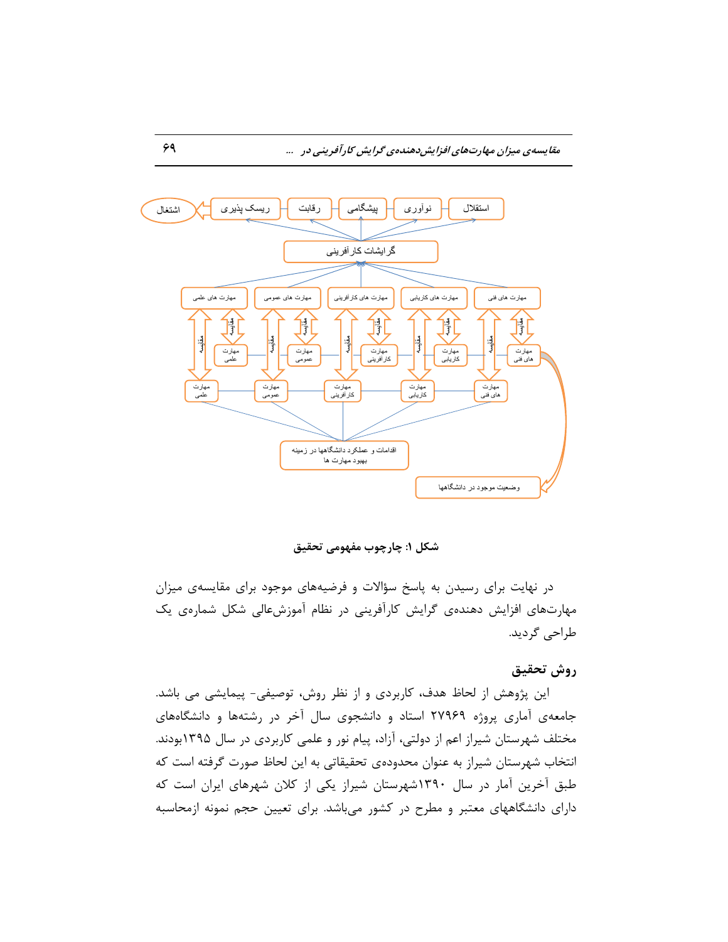

**ؽىل :1 چبرچَة هفَْهی تحمیك**

در نهایت برای رسیدن به پاسخ سؤالات و فرضیههای موجود برای مقایسهی میزان مهارتهای افزایش دهندهی گرایش کارآفرینی در نظام آموزشعالی شکل شمارهی یک طراحی گردید.

### روش تحقیق مستقیم به استفاده به استفاده به استفاده به استفاده به استفاده به استفاده به استفاده به استفاده به است

این پژوهش از لحاظ هدف، كاربردی و از نظر روش، توصیفی- پیمایشی می باشد. جامعهی آماری پروژه ۲۷۹۶۹ استاد و دانشجوی سال آخر در رشتهها و دانشگاههای مختلف شهرستان شیراز اعم از دولتی، آزاد، پیام نور و علمی کاربردی در سال ۱۳۹۵بودند. انتخاب شهرستان شیراز به عنوان محدودهی تحقیقاتی به این لحاظ صورت گرفته است که طبق آخرین آمار در سال ۱۳۹۰شهرستان شیراز یکی از کلان شهرهای ایران است که دارای دانشگاههای معتبر و مطرح در كشور میباشد. برای تعیین حجم نمونه ازمحاسبه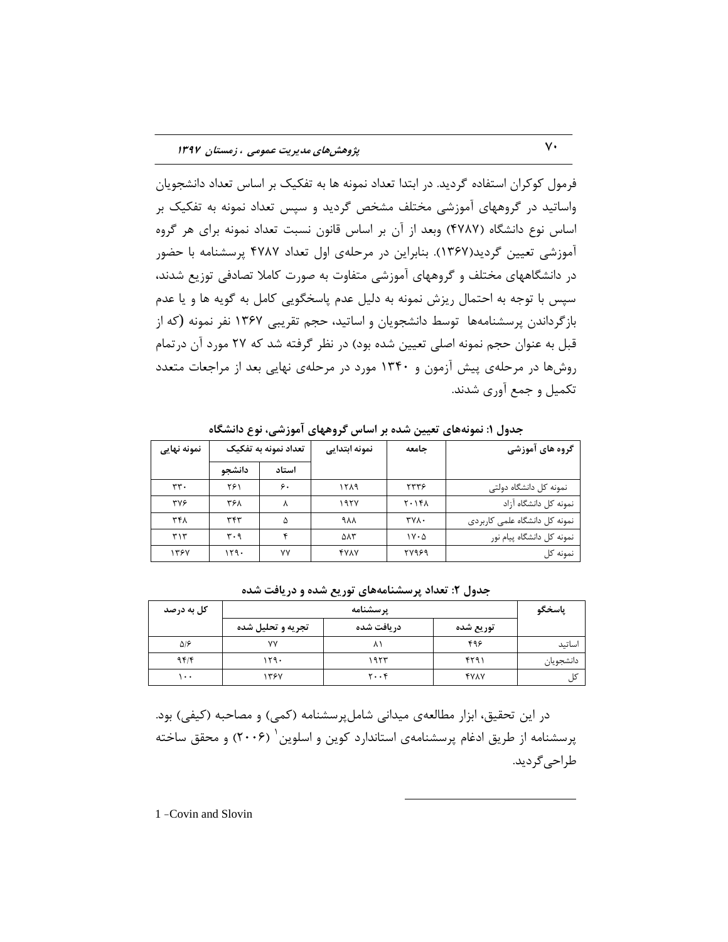فرمول کوکران استفاده گردید. در ابتدا تعداد نمونه ها به تفکیک بر اساس تعداد دانشجویان واساتید در گروههای آموزشی مختلف مشخص گردید و سپس تعداد نمونه به تفکیک بر اساس نوع دانشگاه (۴۷۸۷) وبعد از آن بر اساس قانون نسبت تعداد نمونه برای هر گروه آموزشی تعیین گردید(۱۳۶۷). بنابراین در مرحلهی اول تعداد ۴۷۸۷ پرسشنامه با حضور در دانشگاههای مختلف و گروههای آموزشی متفاوت به صورت کاملا تصادفی توزیع شدند، سپس با توجه به احتمال ریزش نمونه به دلیل عدم پاسخگویی کامل به گویه ها و یا عدم بازگرداندن پرسشنامهها توسط دانشجویان و اساتید، حجم تقریبی ۱۳۶۷ نفر نمونه (که از قبل به عنوان حجم نمونه اصلی تعیین شده بود) در نظر گرفته شد که ۲۷ مورد آن در تمام روشها در مرحلهی پیش آزمون و ۱۳۴۰ مورد در مرحلهی نهایی بعد از مراجعات متعدد تکمیل و جمع آوری شدند.

| نمونه نهایی | تعداد نمونه به تفکیک |       |                       |                                 | نمونه ابتدايي                 | جامعه | گروه های آموزشی |
|-------------|----------------------|-------|-----------------------|---------------------------------|-------------------------------|-------|-----------------|
|             | دانشجو               | استاد |                       |                                 |                               |       |                 |
| rr.         | ۲۶۱                  | ۶.    | 1519                  | ۲۳۳۶                            | نمونه کل دانشگاه دولتی        |       |                 |
| <b>TVS</b>  | ۳۶۸                  |       | ۱۹۲۷                  | $Y \cdot Y$                     | نمونه كل دانشگاه آزاد         |       |                 |
| ۳۴۸         | ٣۴٣                  | ۵     | ٩٨٨                   | <b>TYA.</b>                     | نمونه كل دانشگاه علمى كاربردى |       |                 |
| ٣١٣         | ۳۰۹                  |       | $\Delta \Lambda \tau$ | $\mathcal{N} \cdot \mathcal{A}$ | نمونه كل دانشگاه پيام نور     |       |                 |
| ۱۳۶۷        | ۱۲۹۰                 | ۷۷    | <b>FYAY</b>           | 2972                            | نمونه كل                      |       |                 |

جدول ۱: نمونههای تعیین شده بر اساس گروههای آموزشی، نوع دانشگاه

| کل به درصد  |                   | ياسخگو                              |             |           |
|-------------|-------------------|-------------------------------------|-------------|-----------|
|             | تجریه و تحلیل شده | دريافت شده                          | توريع شده   |           |
| $\Delta$ /۶ | ٧V                |                                     | ۴۹۶         | اساتيد    |
| 95/         | ۱۲۹۰              | ۱۹۲۳                                | ۴۲۹۱        | دانشجويان |
| ۰۰          | ۱۳۶۷              | $\mathbf{y} \cdot \cdot \mathbf{y}$ | <b>YYAY</b> |           |

جدول ۲: تعداد پرسشنامههای توریع شده و دریافت شده

در این تحقیق، ابزار مطالعهی میدانی شاملپرسشنامه (کمی) و مصاحبه (کیفی) بود. پرسشنامه از طریق ادغام پرسشنامهی استاندارد کوین و اسلوین ` (۲۰۰۶) و محقق ساخته طراحی گردید.

 $\overline{a}$ 

1 -Covin and Slovin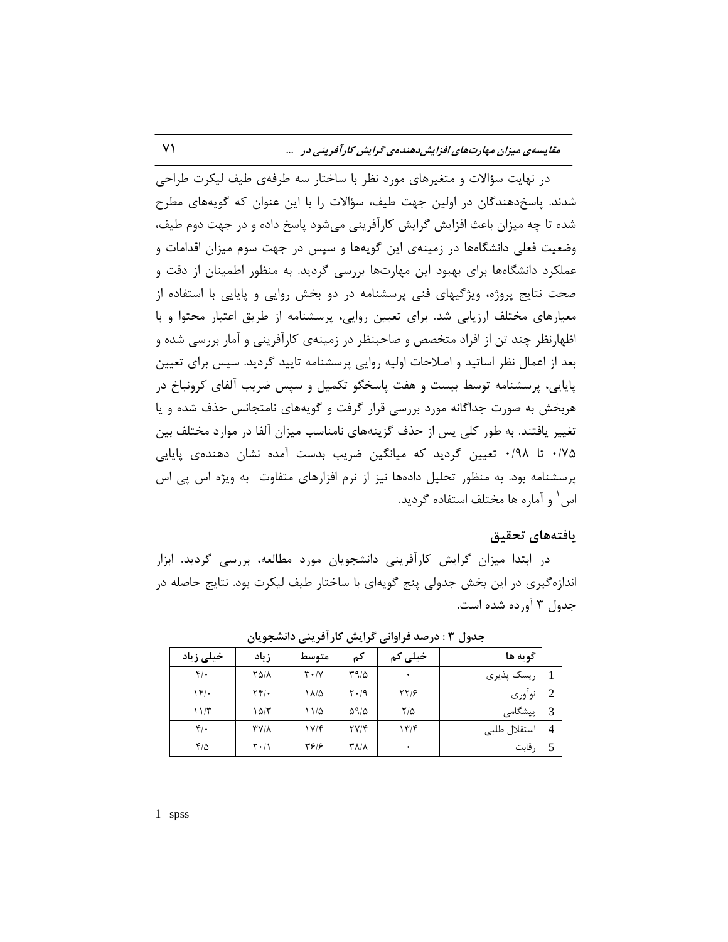در نهایت سؤالات و متغیرهای مورد نظر با ساختار سه طرفهی طیف لیکرت طراحی شدند. پاسخ دهندگان در اولین جهت طیف، سؤالات را با این عنوان که گویههای مطرح شده تا چه میزان باعث افزایش گرایش کارآفرینی می شود پاسخ داده و در جهت دوم طیف، وضعیت فعلی دانشگاهها در زمینهی این گویهها و سپس در جهت سوم میزان اقدامات و عملکرد دانشگاهها برای بهبود این مهارتها بررسی گردید. به منظور اطمینان از دقت و صحت نتایج پروژه، ویژگیهای فنی پرسشنامه در دو بخش روایی و پایایی با استفاده از معیارهای مختلف ارزیابی شد. برای تعیین روایی، پرسشنامه از طریق اعتبار محتوا و با اظهارنظر چند تن از افراد متخصص و صاحبنظر در زمینهی کارآفرینی و آمار بررسی شده و بعد از اعمال نظر اساتید و اصلاحات اولیه روایی پرسشنامه تایید گردید. سپس برای تعیین پایایی، پرسشنامه توسط بیست و هفت پاسخگو تكمیل و سپس ضریب آلفای كرونباخ در هربخش به صورت جداگانه مورد بررسی قرار گرفت و گویههای نامتجانس حذف شده و یا تغییر یافتند. به طور کلی پس از حذف گزینههای نامناسب میزان آلفا در موارد مختلف بین 0/75 تب 0/98 تقییي گطزیس وِ هیبًگیي ضطیت ثسؾت آهسُ ًكبى زٌّسُی پبیبیی پرسشنامه بود. به منظور تحلیل دادهها نیز از نرم افزارهای متفاوت به ویژه اس پی اس اس <sup>۱</sup> و آماره ها مختلف استفاده گردید.

### **یبفتِّبی تحمیك**

در ابتدا میزان گرایش کارآفرینی دانشجویان مورد مطالعه، بررسی گردید. ابزار اندازه گیری در این بخش جدولی پنج گویهای با ساختار طیف لیکرت بود. نتایج حاصله در جدول ۳ آورده شده است.

| خیلی زیاد     | زياد                          | متوسط                         | كم           | خیلی کم        | گويه ها      |                |
|---------------|-------------------------------|-------------------------------|--------------|----------------|--------------|----------------|
| $f(\cdot)$    | 8511                          | $\mathbf{r} \cdot \mathbf{v}$ | ۳۹/۵         | ٠              | ريسک پذيري   |                |
| $\mathcal{N}$ | ۲۴/۰                          | ۱۸/۵                          | $Y \cdot 19$ | $\frac{8}{15}$ | نوآوري       | 2              |
| 11/T          | ۱۵/۳                          | ۱۱/۵                          | 5915         | $7/\Delta$     | پیشگامی      | 3              |
| $f(\cdot)$    | <b>TY/1</b>                   | V/f                           | YY/F         | 177            | استقلال طلبي | $\overline{4}$ |
| $f/\Delta$    | $\mathsf{Y} \cdot \mathsf{Y}$ | 3137                          | <b>TA/A</b>  | ٠              | رقابت        |                |

 $\overline{a}$ 

جدول **۳ : درصد فراوانی گرایش کارآفرینی دانشجویا**ن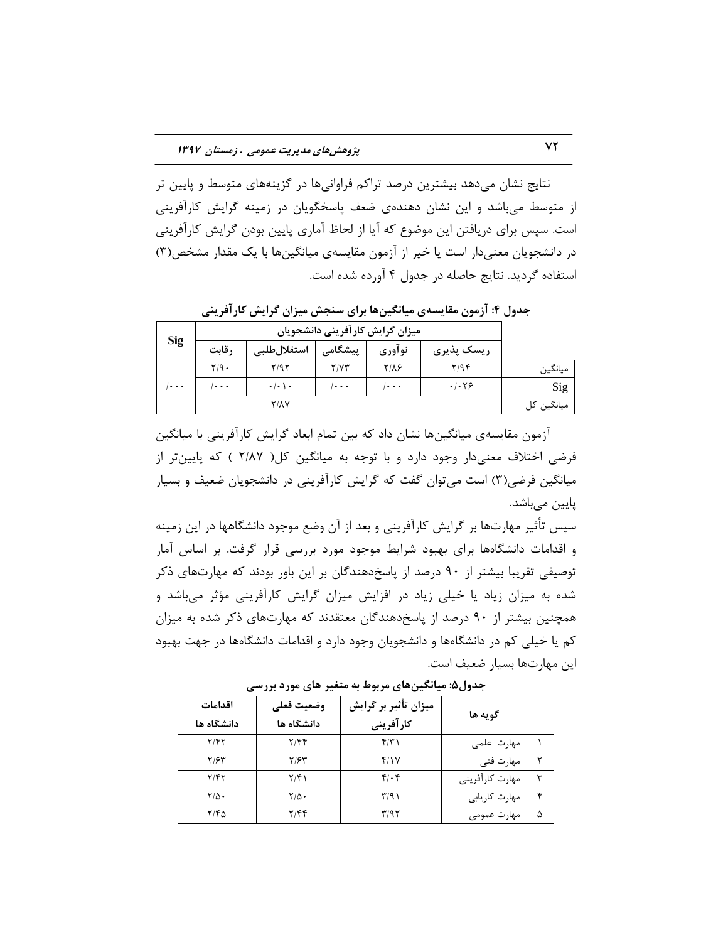نتایج نشان میدهد بیشترین درصد تراكم فراوانیها در گزینههای متوسط و پایین تر از متوسط میباشد و این نشان دهندهی ضعف پاسخگویان در زمینه گرایش کارآفرینی است. سپس برای دریافتن این موضوع که آیا از لحاظ آماری پایین بودن گرایش کارآفرینی در دانشجویان معنیدار است یا خیر از آزمون مقایسهی میانگینها با یک مقدار مشخص(۳) استفاده گردید. نتایج حاصله در جدول ۴ آورده شده است.

جدول ۴: آزمون مقایسهی میانگینها برای سنجش میزان گرایش کارآفرینی

|            |         |                         | میزان گرایش کارآفرینی دانشجویان |               |            |            |
|------------|---------|-------------------------|---------------------------------|---------------|------------|------------|
| <b>Sig</b> | رقابت   | استقلال طلبى            | پیشگامی                         | نوآوري        | ریسک پذیری |            |
|            | $Y/9$ . | ۲/۹۲                    | Y/YY                            | $Y/\lambda$ ۶ | Y/9f       | ميانگين    |
| $\cdots$   | 1.      | $\cdot/\cdot$ \ $\cdot$ | 1.                              | 1.            | .1.79      | Sig        |
|            |         | <b>Y/1V</b>             |                                 |               |            | میانگین کل |

آزمون مقایسهی میانگینها نشان داد که بین تمام ابعاد گرایش کارآفرینی با میانگین فرضی اختلاف معنیدار وجود دارد و با توجه به میانگین کل( ۲/۸۷ ) که پایینتر از میانگین فرضی(۳) است می توان گفت که گرایش کارآفرینی در دانشجویان ضعیف و بسیار پایین میباشد. است به عنوان است و به عنوان است و است و است و است و است و است و است و است و است و است و است و است

> سپس تأثیر مهارتها بر گرایش کارآفرینی و بعد از آن وضع موجود دانشگاهها در این زمینه و اقدامات دانشگاهها برای بهبود شرایط موجود مورد بررسی قرار گرفت. بر اساس آمار توصیفی تقریبا بیشتر از ۹۰ درصد از پاسخدهندگان بر این باور بودند كه مهارتهای ذكر شده به میزان زیاد یا خیلی زیاد در افزایش میزان گرایش کارآفرینی مؤثر میباشد و همچنین بیشتر از ۹۰ درصد از پاسخدهندگان معتقدند که مهارتهای ذکر شده به میزان كم یا خیلی كم در دانشگاهها و دانشجویان وجود دارد و اقدامات دانشگاهها در جهت بهبود این مهارتها بسیار ضعیف است.

| اقدامات<br>دانشگاه ها | وضعيت فعلى<br>دانشگاه ها | میزان تأثیر بر گرایش<br>كارآفرينى | گويه ها         |   |
|-----------------------|--------------------------|-----------------------------------|-----------------|---|
| ۲/۴۲                  | ۲/۴۴                     | ۴۱۳۱                              | مهارت علمی      |   |
| ۳/۶۳                  | ۳/۶۳                     | ۴/۱۷                              | مهارت فنی       | ۲ |
| ۲/۴۲                  | $\frac{7}{9}$            | $f(\cdot)$                        | مهارت كارآفريني | ۳ |
| $\mathbf{Y}/\Delta$ . | $\mathbf{Y}/\Delta$      | ۳/۹۱                              | مهارت کاریابی   | ۴ |
| ۲/۴۵                  | 7/99                     | ۳/۹۲                              | مهارت عمومی     | ۵ |

جدول۵: میانگینهای مربوط به متغیر های مورد بررس*ی*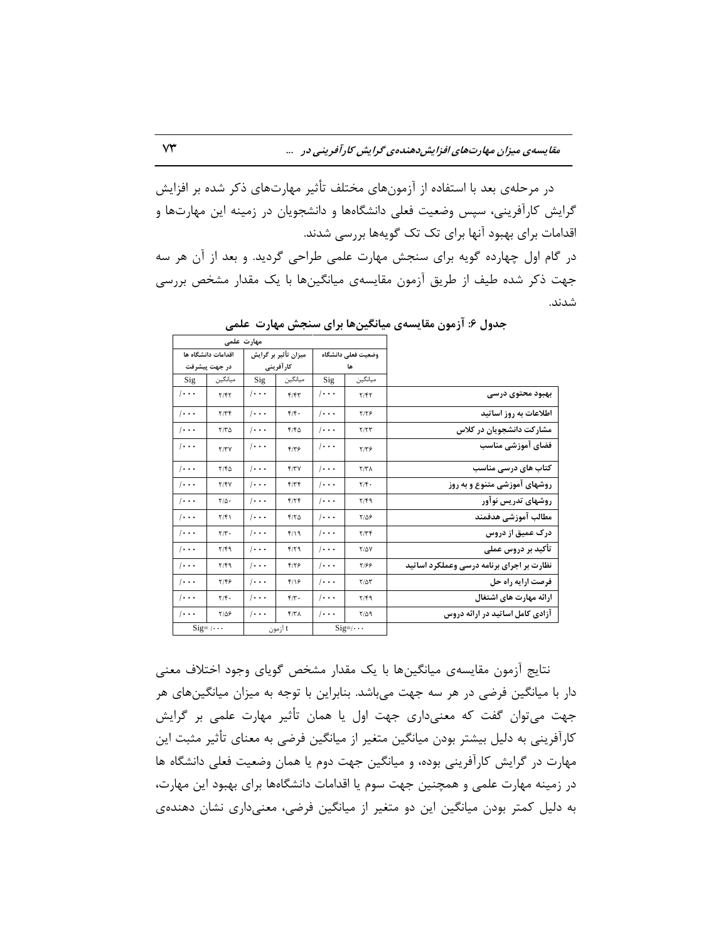در مرحلهی بعد با استفاده از آزمونِهای مختلف تأثیر مهارتهای ذکر شده بر افزایش گرایش کارآفرینی، سپس وضعیت فعلی دانشگاهها و دانشجویان در زمینه این مهارتها و اقدامات برای بهبود آنها برای تک تک گویهها بررسی شدند. در گام اول چهارده گویه برای سنجش مهارت علمی طراحی گردید. و بعد از آن هر سه

جهت ذکر شده طیف از طریق آزمون مقایسهی میانگینها با یک مقدار مشخص بررسی قسًس.

|                                           |                    | مهارت علمی            |                      |                       |                           |                       |  |  |
|-------------------------------------------|--------------------|-----------------------|----------------------|-----------------------|---------------------------|-----------------------|--|--|
|                                           | وضعيت فعلى دانشگاه |                       | میزان تأثیر بر گرایش |                       | اقدامات دانشگاه ها        |                       |  |  |
|                                           | ها                 |                       | كارآفرينى            |                       | در جهت پیشرفت             |                       |  |  |
|                                           | ميانگين            | Sig                   | ميانگين              | Sig                   | ميانگين                   | Sig                   |  |  |
| بهبود محتوى درسى                          | Y/FY               | $/ \cdot \cdot \cdot$ | F/FT                 | $\cdots$              | Y/FY                      | $/ \cdot \cdot \cdot$ |  |  |
| اطلاعات به روز اساتید                     | 7/78               | $/ \cdot \cdot \cdot$ | f/f.                 | $\cdots$              | 7/Tf                      | $/ \cdot \cdot \cdot$ |  |  |
| مشارکت دانشجویان در کلاس                  | Y/YY               | $/ \cdot \cdot \cdot$ | F/FQ                 | $\cdots$              | $Y/T\Delta$               | $/ \cdot \cdot \cdot$ |  |  |
| فضاى آموزشى مناسب                         | $Y/Y$ ۶            | $/ \cdot \cdot \cdot$ | $F/T$ ۶              | 1.                    | Y/YY                      | $/ \cdot \cdot \cdot$ |  |  |
| کتاب های درسی مناسب                       | Y/Y                | $/ \cdot \cdot \cdot$ | f/TV                 | $\cdots$              | Y/FQ                      | $/ \cdot \cdot \cdot$ |  |  |
| روشهای آموزشی متنوع و به روز              | $Y/\mathfrak{f}$ . | $/ \cdot \cdot \cdot$ | F/Tf                 | $\cdots$              | Y/Y                       | $/ \cdot \cdot \cdot$ |  |  |
| روشهای تدریس نوآور                        | Y/F9               | $/ \cdot \cdot \cdot$ | F/7F                 | $\cdots$              | $Y/\Delta$ .              | $/ \cdot \cdot \cdot$ |  |  |
| مطالب آموزشى هدفمند                       | ۲/۵۶               | $1 \cdot \cdot \cdot$ | $F/Y$ $\Delta$       | $/ \cdot \cdot \cdot$ | Y/F                       | $/ \cdot \cdot \cdot$ |  |  |
| درک عمیق از دروس                          | Y/YF               | $/ \cdot \cdot \cdot$ | $f/\Omega$           | $/ \cdot \cdot \cdot$ | $\mathbf{Y}/\mathbf{Y}$ . | $/ \cdot \cdot \cdot$ |  |  |
| تأكيد بر دروس عملى                        | <b>T/QY</b>        | $1 \cdot \cdot \cdot$ | F/T9                 | $\cdots$              | Y/F9                      | $/ \cdot \cdot \cdot$ |  |  |
| نظارت بر اجرای برنامه درسی وعملکرد اساتید | ۳۱۶۶               | $/ \cdot \cdot \cdot$ | $F/Y$ ۶              | $\cdots$              | Y/F9                      | $/ \cdot \cdot \cdot$ |  |  |
| فرصت ارایه راه حل                         | $T/\Delta T$       | $/ \cdot \cdot \cdot$ | $f/\sqrt{2}$         | $\cdots$              | 5/48                      | $/ \cdot \cdot \cdot$ |  |  |
| ارائه مهارت های اشتغال                    | Y/F9               | $/ \cdot \cdot \cdot$ | $f/\tau$ .           | $\cdots$              | $\mathbf{Y}/\mathbf{f}$ . | $/ \cdot \cdot \cdot$ |  |  |
| آزادی کامل اساتید در ارائه دروس           | 7/29               | $/ \cdot \cdot \cdot$ | f/T                  | $\cdots$              | $7/\Delta$ ۶              | $/ \cdot \cdot \cdot$ |  |  |
|                                           | $Sig=$ / $\cdots$  |                       | t آزمون              |                       | $Sig=$ / $\cdots$         |                       |  |  |

**جذٍل :6 آسهَى همبیغِی هیبًگیيّب ثزای عٌجؼ هْبرت ػلوی**

نتایج آزمون مقایسهی میانگینِها با یک مقدار مشخص گویای وجود اختلاف معنی دار با میانگین فرضی در هر سه جهت میباشد. بنابراین با توجه به میزان میانگینهای هر جهت میتوان گفت که معنیداری جهت اول یا همان تأثیر مهارت علمی بر گرایش كارآفرینی به دلیل بیشتر بودن میانگین متغیر از میانگین فرضی به معنای تأثیر مثبت این مهارت در گرایش کارآفرینی بوده، و میانگین جهت دوم یا همان وضعیت فعلی دانشگاه ها در زمینه مهارت علمی و همچنین جهت سوم یا اقدامات دانشگاهها برای بهبود این مهارت، به دلیل کمتر بودن میانگین این دو متغیر از میانگین فرضی، معنیداری نشان دهندهی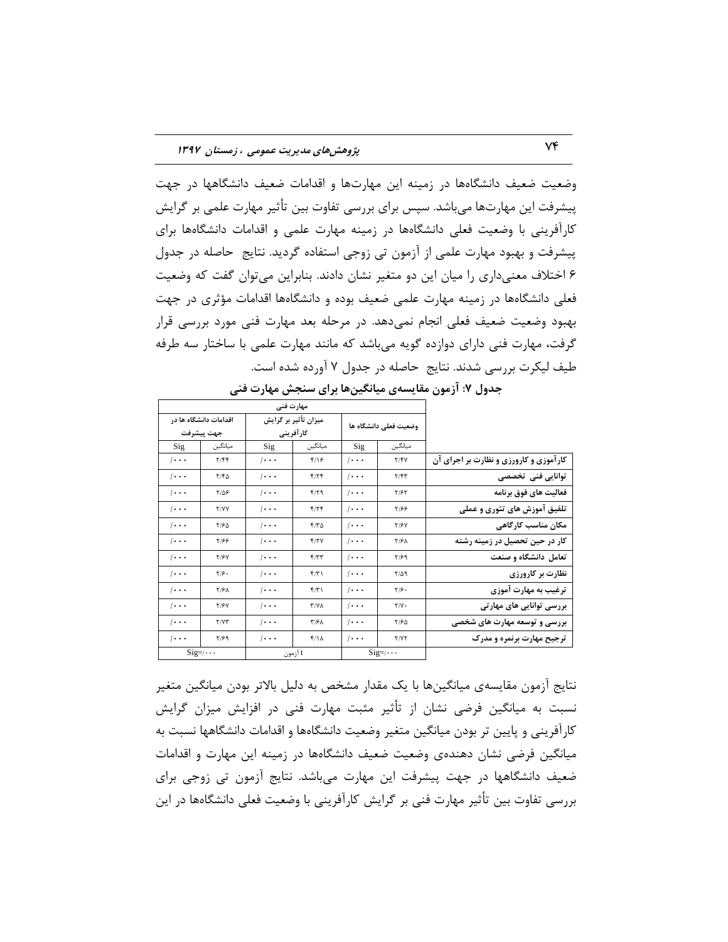وضعیت ضعیف دانشگاهها در زمینه این مهارتها و اقدامات ضعیف دانشگاهها در جهت پیشرفت این مهارتها میباشد. سپس برای بررسی تفاوت بین تأثیر مهارت علمی بر گرایش کارآفرینی با وضعیت فعلی دانشگاهها در زمینه مهارت علمی و اقدامات دانشگاهها برای پیشرفت و بهبود مهارت علمی از آزمون تی زوجی استفاده گردید. نتایج حاصله در جدول ۶ اختلاف معنیداری را میان این دو متغیر نشان دادند. بنابراین میتوان گفت که وضعیت فعلی دانشگاهها در زمینه مهارت علمی ضعیف بوده و دانشگاهها اقدامات مؤثری در جهت بهبود وضعیت ضعیف فعلی انجام نمیِ دهد. در مرحله بعد مهارت فنی مورد بررسی قرار گرفت، مهارت فنی دارای دوازده گویه میباشد که مانند مهارت علمی با ساختار سه طرفه طیف لیکرت بررسی شدند. نتایج حاصله در جدول ۷ آورده شده است.

|                                        | مهارت فنی             |          |                                   |                       |                       |                       |  |  |
|----------------------------------------|-----------------------|----------|-----------------------------------|-----------------------|-----------------------|-----------------------|--|--|
|                                        | وضعيت فعلى دانشگاه ها |          | میزان تأثیر بر گرایش<br>كارآفريني |                       | اقدامات دانشگاه ها در |                       |  |  |
|                                        |                       |          |                                   |                       | جهت پيشرفت            |                       |  |  |
|                                        | ميانگين               | Sig      | ميانگين                           | Sig                   | ميانگين               | Sig                   |  |  |
| کارآموزی و کارورزی و نظارت بر اجرای آن | Y/Y                   | $\cdots$ | $f/\sqrt{2}$                      | $/ \cdot \cdot \cdot$ | Y/FF                  | $/ \cdot \cdot \cdot$ |  |  |
| توانایی فنی تخصصی                      | Y/FY                  | $\cdots$ | f/Tf                              | $\cdots$              | Y/FQ                  | $/ \cdot \cdot \cdot$ |  |  |
| فعالیت های فوق برنامه                  | <b>T/۶۲</b>           | $\cdots$ | F/T9                              | $\cdots$              | ۲/۵۶                  | $/ \cdot \cdot \cdot$ |  |  |
| تلفیق آموزش های تئوری و عملی           | ۳۱۶۶                  | $\cdots$ | F/7F                              | $\cdots$              | <b>Y/YY</b>           | $/ \cdot \cdot \cdot$ |  |  |
| مکان مناسب کارگاهی                     | <b>T/۶</b>            | $\cdots$ | 570                               | $\cdots$              | ۲۱۶۵                  | $/ \cdot \cdot \cdot$ |  |  |
| کار در حین تحصیل در زمینه رشته         | <b>T/FA</b>           | $\cdots$ | f/Y                               | $\cdots$              | 3917                  | $/ \cdot \cdot \cdot$ |  |  |
| تعامل دانشگاه و صنعت                   | $Y/\mathcal{F}$ 9     | $\cdots$ | F/TT                              | $\cdots$              | <b>T/۶</b>            | $/ \cdot \cdot \cdot$ |  |  |
| نظارت بر کارورزی                       | 7/09                  | $\cdots$ | f(T)                              | $\cdots$              | $\frac{1}{2}$         | $/ \cdot \cdot \cdot$ |  |  |
| ترغیب به مهارت آموزی                   | $\frac{1}{2}$         | $\cdots$ | f(T)                              | $  \cdot \cdot \cdot$ | <b>T/۶۸</b>           | $/ \cdot \cdot \cdot$ |  |  |
| بررسی توانایی های مهارتی               | $Y/Y$ .               | $\cdots$ | <b>T/YA</b>                       | $\cdots$              | <b>T/۶</b>            | $/ \cdot \cdot \cdot$ |  |  |
| بررسی و توسعه مهارت های شخصی           | ۲/۶۵                  | $\cdots$ | $T/8\lambda$                      | $\cdots$              | Y/YY                  | $/ \cdot \cdot \cdot$ |  |  |
| ترجیح مهارت برنمره و مدرک              | <b>TIVY</b>           | $\cdots$ | $f/\lambda$                       | $\cdots$              | 7/99                  | $/ \cdot \cdot \cdot$ |  |  |
|                                        | $Sig=$ /···           |          | t آزمون                           |                       | $Sig=$ / $\cdots$     |                       |  |  |

جدول ۷: آزمون مقایسهی میانگینها برای سنجش مهارت فنی

نتايج آزمون مقايسهى ميانگينِها با يک مقدار مشخص به دليل بالاتر بودن ميانگين متغير نسبت به میانگین فرضی نشان از تأثیر مثبت مهارت فنی در افزایش میزان گرایش کارافرینی و پایین تر بودن میانگین متغیر وضعیت دانشگاهها و اقدامات دانشگاهها نسبت به میانگین فرضی نشان دهندهی وضعیت ضعیف دانشگاهها در زمینه این مهارت و اقدامات ضعیف دانشگاهها در جهت پیشرفت این مهارت میباشد. نتایج آزمون تی زوجی برای بررسی تفاوت بین تأثیر مهارت فنی بر گرایش کارآفرینی با وضعیت فعلی دانشگاهها در این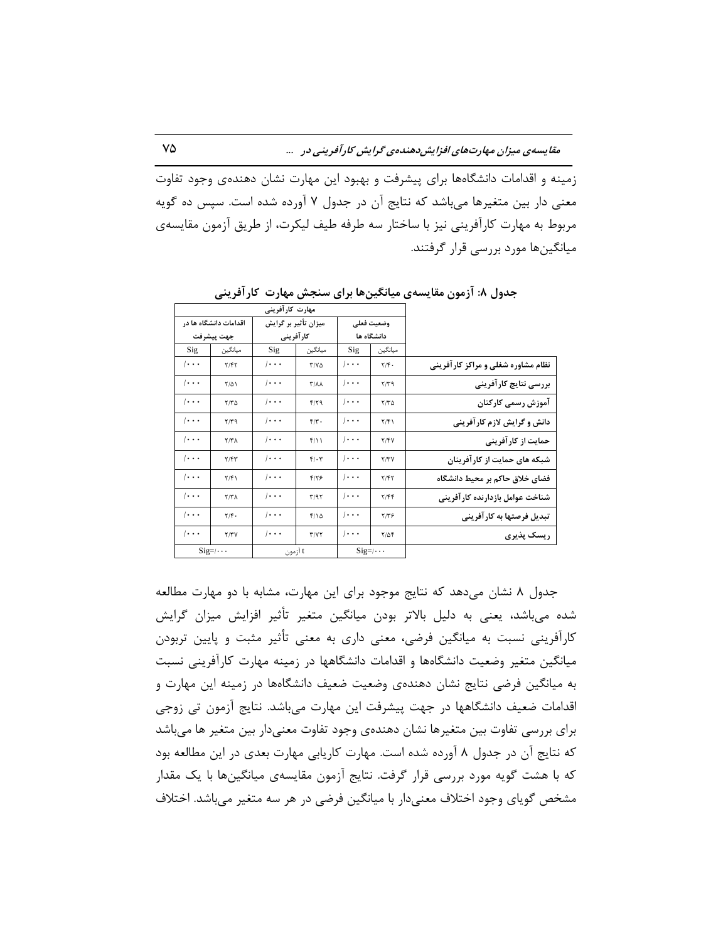زمینه و اقدامات دانشگاهها برای پیشرفت و بهبود این مهارت نشان دهندهی وجود تفاوت معنی دار بین متغیرها میباشد که نتایج آن در جدول ۷ آورده شده است. سپس ده گویه مربوط به مهارت كارآفرینی نیز با ساختار سه طرفه طیف لیكرت، از طریق آزمون مقایسهی میانگینها مورد بررسی قرار گرفتند.

|                                    |                    | مهارت کارآفرینی          |                    |                       |                       |                       |  |  |  |
|------------------------------------|--------------------|--------------------------|--------------------|-----------------------|-----------------------|-----------------------|--|--|--|
|                                    |                    | وضعيت فعلى<br>دانشگاه ها |                    | میزان تأثیر بر گرایش  | اقدامات دانشگاه ها در |                       |  |  |  |
|                                    | ميانگين            | Sig                      | ميانگين            | كارآفريني             | جهت ييشرفت<br>ميانگين |                       |  |  |  |
|                                    |                    |                          |                    | Sig                   |                       | Sig                   |  |  |  |
| نظام مشاوره شغلی و مراکز کارآفرینی | $Y/\mathfrak{F}$ . | $/ \cdot \cdot \cdot$    | $T/Y\Delta$        | $/ \cdot \cdot \cdot$ | Y/Y                   | $ \cdot \cdot \cdot$  |  |  |  |
| بررسی نتایج کار آفرینی             | 7/79               | $/ \cdot \cdot \cdot$    | $T/\lambda\lambda$ | $/ \cdot \cdot \cdot$ | $\frac{1}{2}$         | $/ \cdot \cdot \cdot$ |  |  |  |
| آموزش رسمي كاركنان                 | $Y/Y$ $\Delta$     | $/ \cdot \cdot \cdot$    | f/T9               | $/ \cdot \cdot \cdot$ | $Y/Y$ $\Delta$        | $/ \cdot \cdot \cdot$ |  |  |  |
| دانش و گرایش لازم کار آفرینی       | Y/F                | $/ \cdot \cdot \cdot$    | $f/\tau$ .         | $/ \cdot \cdot \cdot$ | 7/79                  | $/ \cdot \cdot \cdot$ |  |  |  |
| حمایت از کار آفرینی                | Y/Y                | $/ \cdot \cdot \cdot$    | f(1)               | $\cdots$              | Y/Y                   | $/ \cdot \cdot \cdot$ |  |  |  |
| شبکه های حمایت از کار آفرینان      | Y/YY               | $/ \cdot \cdot \cdot$    | $f/\cdot 7$        | $/ \cdot \cdot \cdot$ | Y/Y                   | $/ \cdot \cdot \cdot$ |  |  |  |
| فضای خلاق حاکم بر محیط دانشگاه     | Y/FY               | $/ \cdot \cdot \cdot$    | $F/Y$ ۶            | $\cdots$              | T/f)                  | $/ \cdot \cdot \cdot$ |  |  |  |
| شناخت عوامل بازدارنده كارآفرينى    | Y/FF               | $/ \cdot \cdot \cdot$    | T/97               | $/ \cdot \cdot \cdot$ | Y/Y                   | $1 \cdot \cdot \cdot$ |  |  |  |
| تبدیل فرصتها به کار آفرینی         | $Y/Y$ ۶            | $/ \cdot \cdot \cdot$    | $f/\Delta$         | $/ \cdot \cdot \cdot$ | $Y/\mathfrak{F}$ .    | $/ \cdot \cdot \cdot$ |  |  |  |
| ریسک پذیری                         | $Y/\Delta f$       | $\cdots$                 | T/VT               | $\cdots$              | Y/YY                  | $/ \cdot \cdot \cdot$ |  |  |  |
|                                    | $Sig=$ / $\cdots$  |                          | t آزمون            |                       | $Sig=$ / $\cdots$     |                       |  |  |  |

جدول **۸: آزمون مقایسهی میانگینها برای سنجش مهارت کارآفرینی** 

جدول ٨ نشان می دهد كه نتایج موجود برای این مهارت، مشابه با دو مهارت مطالعه شده میباشد، یعنی به دلیل بالاتر بودن میانگین متغیر تأثیر افزایش میزان گرایش کارآفرینی نسبت به میانگین فرضی، معنی داری به معنی تأثیر مثبت و پایین تربودن میانگین متغیر وضعیت دانشگاهها و اقدامات دانشگاهها در زمینه مهارت کارآفرینی نسبت به میانگین فرضی نتایج نشان دهندهی وضعیت ضعیف دانشگاهها در زمینه این مهارت و اقدامات ضعیف دانشگاهها در جهت پیشرفت این مهارت می باشد. نتایج آزمون تی زوجی برای بررسی تفاوت بین متغیرها نشان دهندهی وجود تفاوت معنیدار بین متغیر ها میباشد که نتایج آن در جدول ۸ آورده شده است. مهارت کاریابی مهارت بعدی در این مطالعه بود که با هشت گویه مورد بررسی قرار گرفت. نتایج آزمون مقایسهی میانگینها با یک مقدار مشخص گویای وجود اختلاف معنیدار با میانگین فرضی در هر سه متغیر می باشد. اختلاف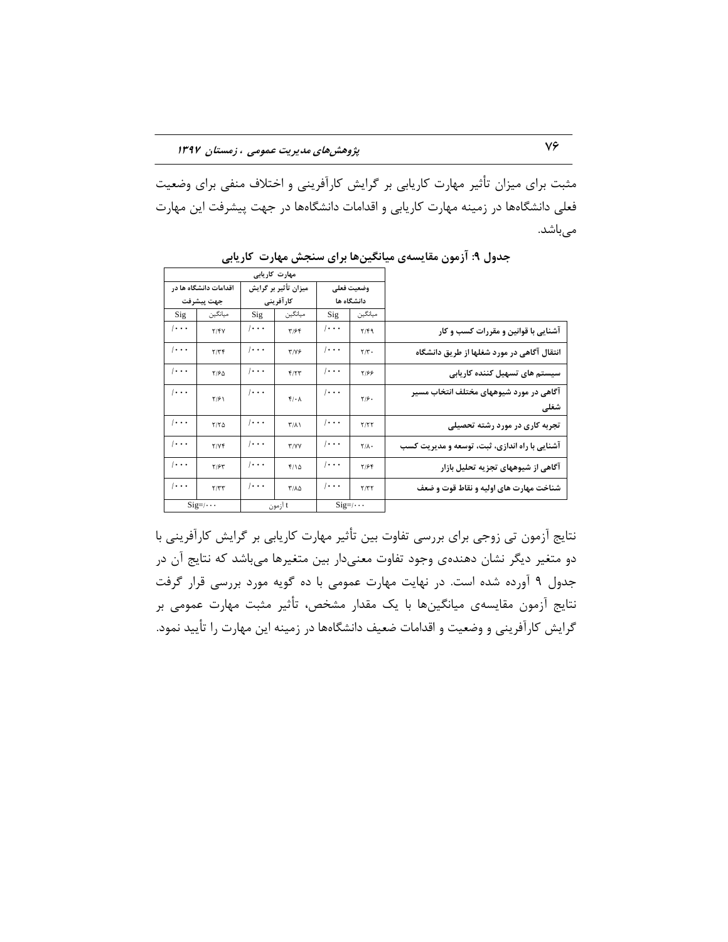مثبت برای میزان تأثیر مهارت کاریابی بر گرایش کارآفرینی و اختلاف منفی برای وضعیت فعلی دانشگاهها در زمینه مهارت كاریابی و اقدامات دانشگاهها در جهت پیشرفت این مهارت میباشد.

|                                                 |                         | مهارت کاریابی         |                   |                       |                       |                       |  |  |  |
|-------------------------------------------------|-------------------------|-----------------------|-------------------|-----------------------|-----------------------|-----------------------|--|--|--|
|                                                 | وضعيت فعلى              |                       |                   | میزان تأثیر بر گرایش  |                       | اقدامات دانشگاه ها در |  |  |  |
|                                                 | دانشگاه ها              |                       | کار آفرینی        |                       | جهت پيشرفت            |                       |  |  |  |
|                                                 | ميانگين                 | Sig                   | ميانگين           | Sig                   | ميانگين               | Sig                   |  |  |  |
| آشنایی با قوانین و مقررات کسب و کار             | Y/F9                    | $/ \cdot \cdot \cdot$ | T/56              | $/ \cdot \cdot \cdot$ | Y/Y                   | $/ \cdot \cdot \cdot$ |  |  |  |
| انتقال آگاهی در مورد شغلها از طریق دانشگاه      | $\mathbf{Y}/\mathbf{Y}$ | $\cdots$              | $T/Y$ ۶           | $/ \cdot \cdot \cdot$ | Y/YF                  | $\cdots$              |  |  |  |
| سیستم های تسهیل کننده کاریابی                   | 7199                    | $/ \cdot \cdot \cdot$ | F/7T              | $/ \cdot \cdot \cdot$ | $Y/\mathcal{P}\Delta$ | $/ \cdot \cdot \cdot$ |  |  |  |
| آگاهی در مورد شیوههای مختلف انتخاب مسیر<br>شغلى | $Y/\mathcal{F}$ .       | $/ \cdot \cdot \cdot$ | $f/\cdot \Lambda$ | $/ \cdot \cdot \cdot$ | $\frac{1}{2}$         | $ \cdot \cdot \cdot$  |  |  |  |
| تجربه کاری در مورد رشته تحصیلی                  | Y/YY                    | $/ \cdot \cdot \cdot$ | $T/\lambda$       | $/ \cdot \cdot \cdot$ | $Y/Y$ $\Delta$        | $/ \cdot \cdot \cdot$ |  |  |  |
| آشنایی با راه اندازی، ثبت، توسعه و مدیریت کسب   | $Y/\Lambda$             | $\cdots$              | <b>T/VV</b>       | $/ \cdot \cdot \cdot$ | Y/Yf                  | $/ \cdot \cdot \cdot$ |  |  |  |
| آگاهی از شیوههای تجزیه تحلیل بازار              | Y/99                    | $/ \cdot \cdot \cdot$ | $f/\Delta$        | $/ \cdot \cdot \cdot$ | Y/5Y                  | $\cdots$              |  |  |  |
| شناخت مهارت های اولیه و نقاط قوت و ضعف          | Y/YY                    | $/ \cdot \cdot \cdot$ | ٢/٨٥              | $/ \cdot \cdot \cdot$ | Y/YY                  | $ \cdot \cdot \cdot$  |  |  |  |
|                                                 | $Sig=$ / $\cdots$       |                       | t آزمون           |                       | $Sig=$ /···           |                       |  |  |  |

جدول ۹: آزمون مقایسهی میانگینها برای سنجش مهارت کاریابی

نتايج آزمون تی زوجی برای بررسی تفاوت بين تأثير مهارت كاریابی بر گرایش كارآفرینی با دو متغیر دیگر نشان دهندهی وجود تفاوت معنیدار بین متغیرها میباشد که نتایج آن در جدول ۹ آورده شده است. در نهایت مهارت عمومی با ده گویه مورد بررسی قرار گرفت نتايج آزمون مقايسهى ميانگينِها با يک مقدار مشخص، تأثير مثبت مهارت عمومى بر گرایش کارآفرینی و وضعیت و اقدامات ضعیف دانشگاهها در زمینه این مهارت را تأیید نمود.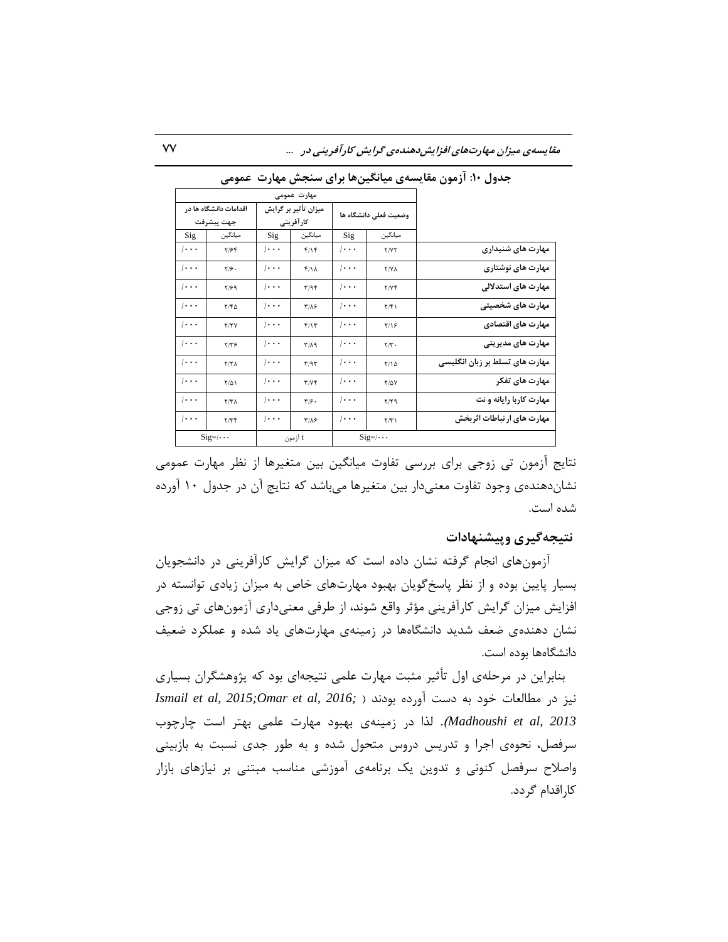|                                | مهارت عمومى               |                       |                      |                       |                              |                       |  |
|--------------------------------|---------------------------|-----------------------|----------------------|-----------------------|------------------------------|-----------------------|--|
|                                | وضعيت فعلى دانشگاه ها     |                       | میزان تأثیر بر گرایش |                       | اقدامات دانشگاه ها در        |                       |  |
|                                | ميانگين                   | Sig                   | كارآفريني<br>ميانگين |                       | جهت پيشرفت<br>ميانگين<br>Sig |                       |  |
| مهارت های شنیداری              | <b>T/YT</b>               | $/ \cdot \cdot \cdot$ | f/Y                  | Sig<br>$\cdots$       | Y/99                         | $/ \cdot \cdot \cdot$ |  |
| مهارت های نوشتاری              | <b>T/YA</b>               | $/ \cdot \cdot \cdot$ | $f/\lambda$          | $\cdots$              | $Y/\mathcal{G}$ .            | $/ \cdot \cdot \cdot$ |  |
| مهارت های استدلالی             | Y/Yf                      | $/ \cdot \cdot \cdot$ | T/9F                 | $/ \cdot \cdot \cdot$ | $Y/\mathcal{F}$ 9            | $/ \cdot \cdot \cdot$ |  |
| مهارت های شخصیتی               | $\Upsilon/\Upsilon$       | $/ \cdot \cdot \cdot$ | $T/\Lambda$ ۶        | $/ \cdot \cdot \cdot$ | Y/FQ                         | $/ \cdot \cdot \cdot$ |  |
| مهارت های اقتصادی              | Y/19                      | $/ \cdot \cdot \cdot$ | f/Y                  | $/ \cdot \cdot \cdot$ | Y/YY                         | $/ \cdot \cdot \cdot$ |  |
| مھارت ھای مدیریتی              | $\mathbf{r}/\mathbf{r}$ . | $/ \cdot \cdot \cdot$ | $T/\Lambda$ 9        | $/ \cdot \cdot \cdot$ | $Y/Y$ ۶                      | $/ \cdot \cdot \cdot$ |  |
| مهارت های تسلط بر زبان انگلیسی | Y/10                      | $/ \cdot \cdot \cdot$ | T/9T                 | $/ \cdot \cdot \cdot$ | Y/Y                          | $/ \cdot \cdot \cdot$ |  |
| مهارت های تفکر                 | <b>T/0Y</b>               | $/ \cdot \cdot \cdot$ | T/Yf                 | $/ \cdot \cdot \cdot$ | $T/\Delta$                   | $/ \cdot \cdot \cdot$ |  |
| مهارت کاربا رایانه و نت        | $Y/Y$ ۹                   | $/ \cdot \cdot \cdot$ | $T/\mathcal{F}$ .    | $/ \cdot \cdot \cdot$ | Y/Y                          | $/ \cdot \cdot \cdot$ |  |
| مهارت های ارتباطات اثربخش      | $\tau/\tau$               | $/ \cdot \cdot \cdot$ | $T/\Lambda$ ۶        | $/ \cdot \cdot \cdot$ | 7/Tf                         | $/ \cdot \cdot \cdot$ |  |
|                                | $Sig=$ / $\cdots$         |                       | t آزمون              |                       | $Sig=$ / $\cdots$            |                       |  |

جدول **۱۰: آزمون مقایسهی میانگینها برای سنجش مهارت عمومی** 

نتايج آزمون تی زوجی برای بررسی تفاوت میانگین بین متغیرها از نظر مهارت عمومی نشاندهندهی وجود تفاوت معنیدار بین متغیرها میباشد که نتایج آن در جدول ۱۰ آورده شده است.

### **ًتیجِگیزی ٍپیؾٌْبدات**

آزمونِ هاى انجام گرفته نشان داده است كه میزان گرایش كارآفرینی در دانشجویان بسیار پایین بوده و از نظر پاسخگویان بهبود مهارتهاى خاص به میزان زیادى توانسته در افزایش میزان گرایش کارآفرینی مؤثر واقع شوند، از طرفی معنیداری آزمونهای تی زوجی نشان دهندهی ضعف شدید دانشگاهها در زمینهی مهارتهای یاد شده و عملکرد ضعیف دانشگاهها بوده است.

بنابراین در مرحلهی اول تأثیر مثبت مهارت علمی نتیجهای بود که پژوهشگران بسیاری  $I$ smail et al, 2015;Omar et al, 2016; ) نیز در مطالعات خود به دست آورده بودند *Madhoushi et al, 2013).* لذا در زمینهی بهبود مهارت علمی بهتر است چارچوب سرفصل، نحوهی اجرا و تدریس دروس متحول شده و به طور جدی نسبت به بازبینی واصلاح سرفصل کنونی و تدوین یک برنامهی آموزشی مناسب مبتنی بر نیازهای بازار كاراقدام گردد.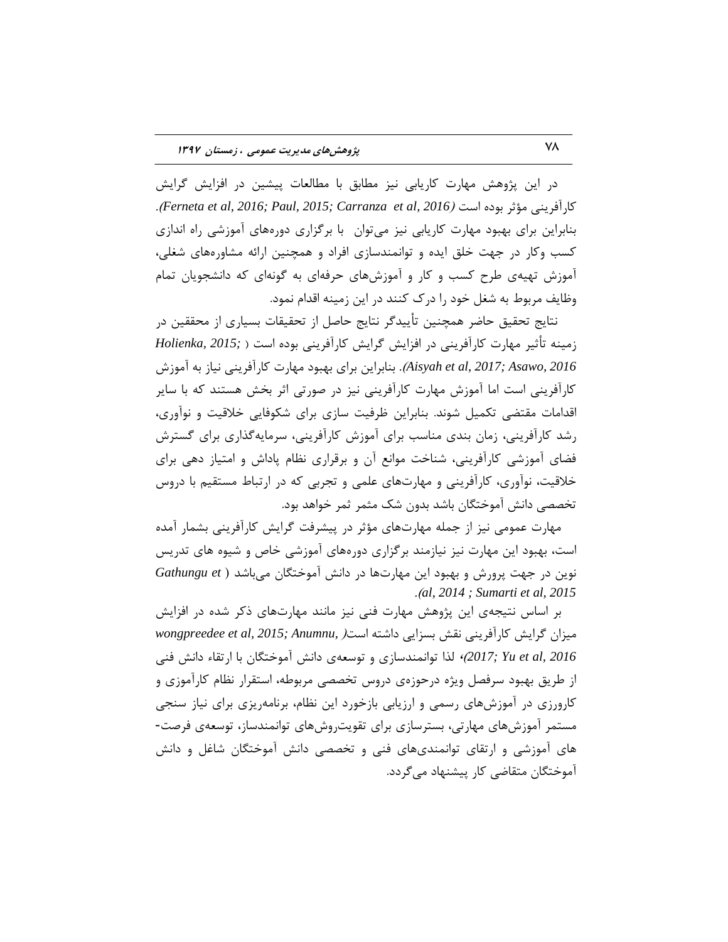در این پژوهش مهارت كاریابی نیز مطابق با مطالعات پیشین در افزایش گرایش كارآفريني مؤثر بوده است *(Ferneta et al, 2016; Paul, 2015; Carranza et al, 2016).* بنابراین برای بهبود مهارت کاریابی نیز میتوان با برگزاری دورههای آموزشی راه اندازی کسب وکار در جهت خلق ایده و توانمندسازی افراد و همچنین ارائه مشاورههای شغلی، آموزش تهیهی طرح کسب و کار و آموزشهای حرفهای به گونهای که دانشجویان تمام وظایف مربوط به شغل خود را درک کنند در این زمینه اقدام نمود.

نتايج تحقیق حاضر همچنین تأییدگر نتایج حاصل از تحقیقات بسیاری از محققین در زمینه تأثیر مهارت کارآفرینی در افزایش گرایش کارآفرینی بوده است ( *Holienka, 2015; 2016 ,Asawo; 2017 ,al et Aisyah*). ثٌبثطایي ثطای ثْجَز هْبضت وبضآفطیٌی ًیبظ ثِ آهَظـ کارآفرینی است اما آموزش مهارت کارآفرینی نیز در صورتی اثر بخش هستند که با سایر اقدامات مقتضی تکمیل شوند. بنابراین ظرفیت سازی برای شکوفایی خلاقیت و نوآوری، رشد کارآفرینی، زمان بندی مناسب برای آموزش کارآفرینی، سرمایهگذاری برای گسترش فضای آموزشی کارآفرینی، شناخت موانع آن و برقراری نظام پاداش و امتیاز دهی برای خلاقیت، نوآوری، کارآفرینی و مهارتهای علمی و تجربی که در ارتباط مستقیم با دروس تخصصی دانش آموختگان باشد بدون شک مثمر ثمر خواهد بود.

مهارت عمومی نیز از جمله مهارتهای مؤثر در پیشرفت گرایش کارآفرینی بشمار آمده است، بهبود این مهارت نیز نیازمند برگزاری دورههای آموزشی خاص و شیوه های تدریس نوین در جهت پرورش و بهبود این مهارتها در دانش آموختگان میباشد ( Gathungu et .)*al, 2014 ; Sumarti et al, 2015*

بر اساس نتیجهی این پژوهش مهارت فنی نیز مانند مهارتهای ذکر شده در افزایش هیزان گرایش کارآفرینی نقش بسزایی داشته است*(wongpreedee et al, 2015; Anumnu,* ) لدا توانمندسازی و توسعهی دانش آموختگان با ارتقاء دانش فنی (2017)، Yu et al, 2016 از طریق بهبود سرفصل ویژه درحوزهی دروس تخصصی مربوطه، استقرار نظام کاراموزی و کارورزی در آموزشهای رسمی و ارزیابی بازخورد این نظام، برنامهریزی برای نیاز سنجی مستمر آموزش های مهارتی، بسترسازی برای تقویت٫وش های توانمندساز، توسعهی فرصت-های آموزشی و ارتقای توانمندیهای فنی و تخصصی دانش آموختگان شاغل و دانش آموختگان متقاضی کار پیشنهاد می گردد.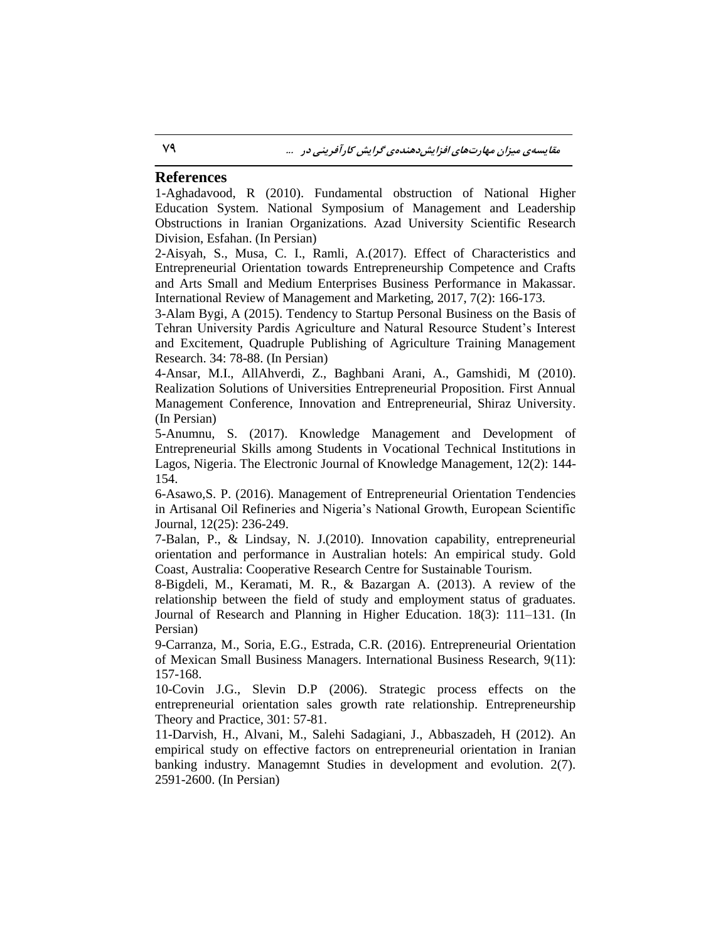### **References**

1-Aghadavood, R (2010). Fundamental obstruction of National Higher Education System. National Symposium of Management and Leadership Obstructions in Iranian Organizations. Azad University Scientific Research Division, Esfahan. (In Persian)

2-Aisyah, S., Musa, C. I., Ramli, A.(2017). Effect of Characteristics and Entrepreneurial Orientation towards Entrepreneurship Competence and Crafts and Arts Small and Medium Enterprises Business Performance in Makassar. International Review of Management and Marketing, 2017, 7(2): 166-173.

3-Alam Bygi, A (2015). Tendency to Startup Personal Business on the Basis of Tehran University Pardis Agriculture and Natural Resource Student's Interest and Excitement, Quadruple Publishing of Agriculture Training Management Research. 34: 78-88. (In Persian)

4-Ansar, M.I., AllAhverdi, Z., Baghbani Arani, A., Gamshidi, M (2010). Realization Solutions of Universities Entrepreneurial Proposition. First Annual Management Conference, Innovation and Entrepreneurial, Shiraz University. (In Persian)

5-Anumnu, S. (2017). Knowledge Management and Development of Entrepreneurial Skills among Students in Vocational Technical Institutions in Lagos, Nigeria. The Electronic Journal of Knowledge Management, 12(2): 144- 154.

6-Asawo,S. P. (2016). Management of Entrepreneurial Orientation Tendencies in Artisanal Oil Refineries and Nigeria's National Growth, European Scientific Journal, 12(25): 236-249.

7-Balan, P., & Lindsay, N. J.(2010). Innovation capability, entrepreneurial orientation and performance in Australian hotels: An empirical study. Gold Coast, Australia: Cooperative Research Centre for Sustainable Tourism.

8-Bigdeli, M., Keramati, M. R., & Bazargan A. (2013). A review of the relationship between the field of study and employment status of graduates. Journal of Research and Planning in Higher Education. 18(3): 111–131. (In Persian)

9-Carranza, M., Soria, E.G., Estrada, C.R. (2016). Entrepreneurial Orientation of Mexican Small Business Managers. International Business Research, 9(11): 157-168.

10-Covin J.G., Slevin D.P (2006). Strategic process effects on the entrepreneurial orientation sales growth rate relationship. Entrepreneurship Theory and Practice, 301: 57-81.

11-Darvish, H., Alvani, M., Salehi Sadagiani, J., Abbaszadeh, H (2012). An empirical study on effective factors on entrepreneurial orientation in Iranian banking industry. Managemnt Studies in development and evolution. 2(7). 2591-2600. (In Persian)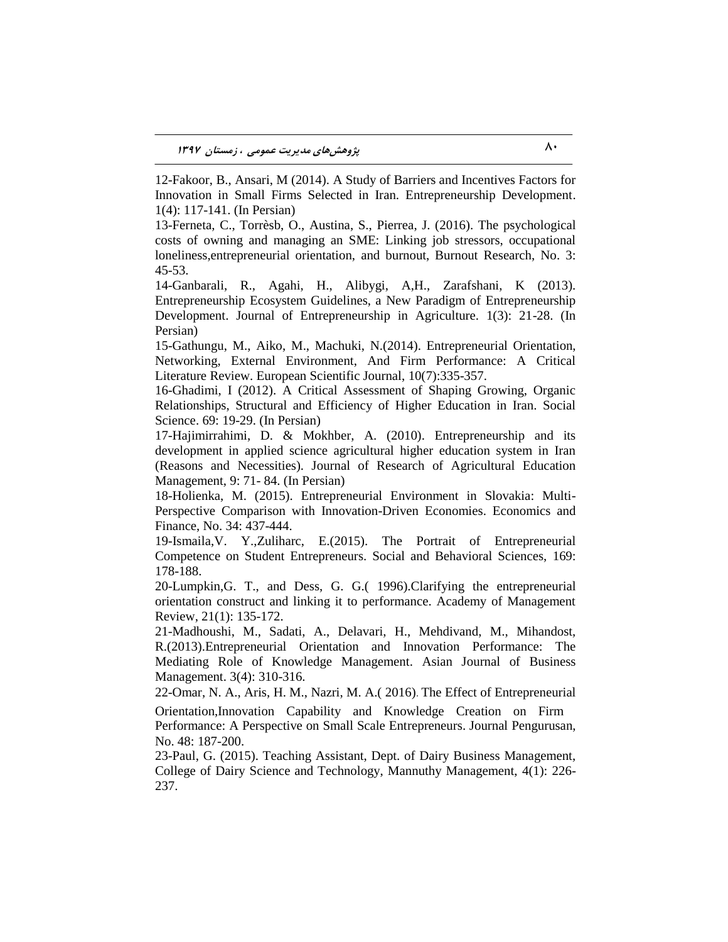12-Fakoor, B., Ansari, M (2014). A Study of Barriers and Incentives Factors for Innovation in Small Firms Selected in Iran. Entrepreneurship Development. 1(4): 117-141. (In Persian)

13-Ferneta, C., Torrèsb, O., Austina, S., Pierrea, J. (2016). The psychological costs of owning and managing an SME: Linking job stressors, occupational loneliness,entrepreneurial orientation, and burnout, Burnout Research, No. 3: 45-53.

14-Ganbarali, R., Agahi, H., Alibygi, A,H., Zarafshani, K (2013). Entrepreneurship Ecosystem Guidelines, a New Paradigm of Entrepreneurship Development. Journal of Entrepreneurship in Agriculture. 1(3): 21-28. (In Persian)

15-Gathungu, M., Aiko, M., Machuki, N.(2014). Entrepreneurial Orientation, Networking, External Environment, And Firm Performance: A Critical Literature Review. European Scientific Journal, 10(7):335-357.

16-Ghadimi, I (2012). A Critical Assessment of Shaping Growing, Organic Relationships, Structural and Efficiency of Higher Education in Iran. Social Science. 69: 19-29. (In Persian)

17-Hajimirrahimi, D. & Mokhber, A. (2010). Entrepreneurship and its development in applied science agricultural higher education system in Iran (Reasons and Necessities). Journal of Research of Agricultural Education Management, 9: 71- 84. (In Persian)

18-Holienka, M. (2015). Entrepreneurial Environment in Slovakia: Multi-Perspective Comparison with Innovation-Driven Economies. Economics and Finance, No. 34: 437-444.

19-Ismaila,V. Y.,Zuliharc, E.(2015). The Portrait of Entrepreneurial Competence on Student Entrepreneurs. Social and Behavioral Sciences, 169: 178-188.

20-Lumpkin,G. T., and Dess, G. G.( 1996).Clarifying the entrepreneurial orientation construct and linking it to performance. Academy of Management Review, 21(1): 135-172.

21-Madhoushi, M., Sadati, A., Delavari, H., Mehdivand, M., Mihandost, R.(2013).Entrepreneurial Orientation and Innovation Performance: The Mediating Role of Knowledge Management. Asian Journal of Business Management. 3(4): 310-316.

22-Omar, N. A., Aris, H. M., Nazri, M. A.( 2016). The Effect of Entrepreneurial

Orientation,Innovation Capability and Knowledge Creation on Firm Performance: A Perspective on Small Scale Entrepreneurs. Journal Pengurusan, No. 48: 187-200.

23-Paul, G. (2015). Teaching Assistant, Dept. of Dairy Business Management, College of Dairy Science and Technology, Mannuthy Management, 4(1): 226- 237.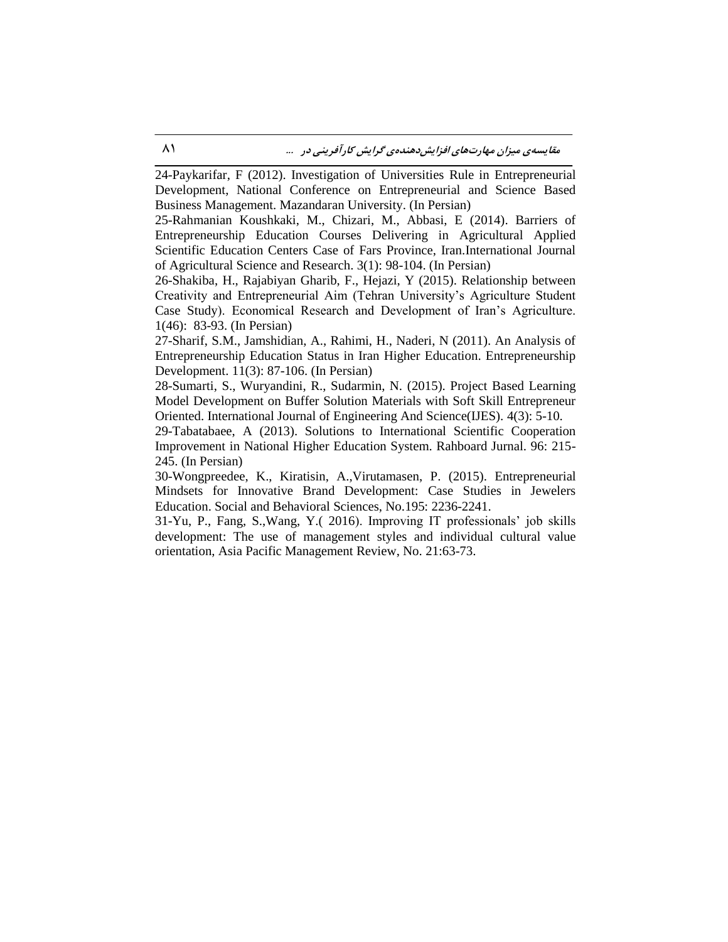24-Paykarifar, F (2012). Investigation of Universities Rule in Entrepreneurial Development, National Conference on Entrepreneurial and Science Based Business Management. Mazandaran University. (In Persian)

25-Rahmanian Koushkaki, M., Chizari, M., Abbasi, E (2014). Barriers of Entrepreneurship Education Courses Delivering in Agricultural Applied Scientific Education Centers Case of Fars Province, Iran.International Journal of Agricultural Science and Research. 3(1): 98-104. (In Persian)

26-Shakiba, H., Rajabiyan Gharib, F., Hejazi, Y (2015). Relationship between Creativity and Entrepreneurial Aim (Tehran University's Agriculture Student Case Study). Economical Research and Development of Iran's Agriculture. 1(46): 83-93. (In Persian)

27-Sharif, S.M., Jamshidian, A., Rahimi, H., Naderi, N (2011). An Analysis of Entrepreneurship Education Status in Iran Higher Education. Entrepreneurship Development. 11(3): 87-106. (In Persian)

28-Sumarti, S., Wuryandini, R., Sudarmin, N. (2015). Project Based Learning Model Development on Buffer Solution Materials with Soft Skill Entrepreneur Oriented. International Journal of Engineering And Science(IJES). 4(3): 5-10.

29-Tabatabaee, A (2013). Solutions to International Scientific Cooperation Improvement in National Higher Education System. Rahboard Jurnal. 96: 215- 245. (In Persian)

30-Wongpreedee, K., Kiratisin, A.,Virutamasen, P. (2015). Entrepreneurial Mindsets for Innovative Brand Development: Case Studies in Jewelers Education. Social and Behavioral Sciences, No.195: 2236-2241.

31-Yu, P., Fang, S.,Wang, Y.( 2016). Improving IT professionals' job skills development: The use of management styles and individual cultural value orientation, Asia Pacific Management Review, No. 21:63-73.